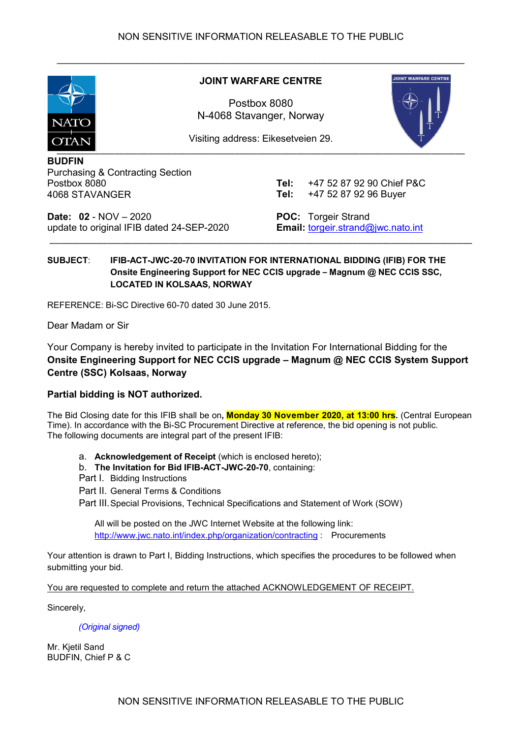

#### **JOINT WARFARE CENTRE**

\_\_\_\_\_\_\_\_\_\_\_\_\_\_\_\_\_\_\_\_\_\_\_\_\_\_\_\_\_\_\_\_\_\_\_\_\_\_\_\_\_\_\_\_\_\_\_\_\_\_\_\_\_\_\_\_\_\_\_\_\_\_\_\_\_\_\_\_\_\_\_\_\_\_\_\_

Postbox 8080 N-4068 Stavanger, Norway



Visiting address: Eikesetveien 29.

**BUDFIN**  Purchasing & Contracting Section Postbox 8080 4068 STAVANGER

**Tel:** +47 52 87 92 90 Chief P&C **Tel:** +47 52 87 92 96 Buyer

**Date: 02** - NOV – 2020 update to original IFIB dated 24-SEP-2020 **POC:** Torgeir Strand **Email:** [torgeir.strand@jwc.nato.int](mailto:torgeir.strand@jwc.nato.int)

## **SUBJECT**: **IFIB-ACT-JWC-20-70 INVITATION FOR INTERNATIONAL BIDDING (IFIB) FOR THE Onsite Engineering Support for NEC CCIS upgrade – Magnum @ NEC CCIS SSC, LOCATED IN KOLSAAS, NORWAY**

\_\_\_\_\_\_\_\_\_\_\_\_\_\_\_\_\_\_\_\_\_\_\_\_\_\_\_\_\_\_\_\_\_\_\_\_\_\_\_\_\_\_\_\_\_\_\_\_\_\_\_\_\_\_\_\_\_\_\_\_\_\_\_\_\_\_\_\_\_\_\_\_\_\_\_\_\_\_\_\_\_\_\_\_\_\_\_\_

REFERENCE: Bi-SC Directive 60-70 dated 30 June 2015.

Dear Madam or Sir

Your Company is hereby invited to participate in the Invitation For International Bidding for the **Onsite Engineering Support for NEC CCIS upgrade – Magnum @ NEC CCIS System Support Centre (SSC) Kolsaas, Norway**

## **Partial bidding is NOT authorized.**

The Bid Closing date for this IFIB shall be on**, Monday 30 November 2020, at 13:00 hrs.** (Central European Time). In accordance with the Bi-SC Procurement Directive at reference, the bid opening is not public. The following documents are integral part of the present IFIB:

a. **Acknowledgement of Receipt** (which is enclosed hereto);

b. **The Invitation for Bid IFIB-ACT-JWC-20-70**, containing:

- Part I. Bidding Instructions
- Part II. General Terms & Conditions

Part III.Special Provisions, Technical Specifications and Statement of Work (SOW)

All will be posted on the JWC Internet Website at the following link: <http://www.jwc.nato.int/index.php/organization/contracting> : Procurements

Your attention is drawn to Part I, Bidding Instructions, which specifies the procedures to be followed when submitting your bid.

You are requested to complete and return the attached ACKNOWLEDGEMENT OF RECEIPT.

Sincerely,

*(Original signed)*

Mr. Kietil Sand BUDFIN, Chief P & C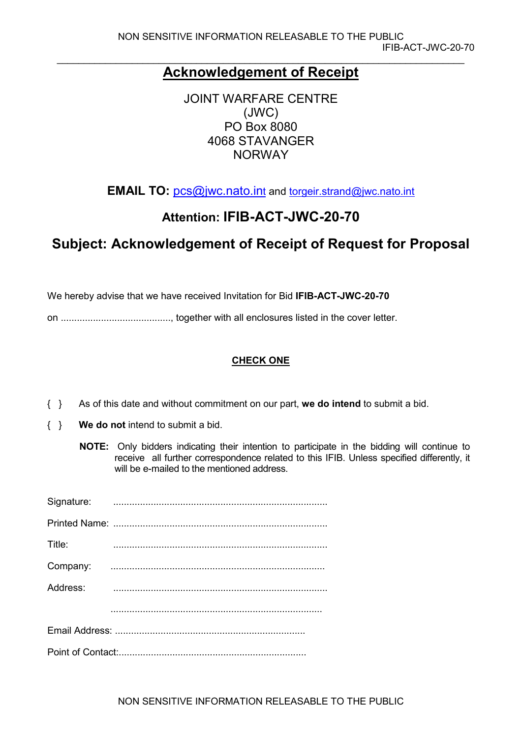# **Acknowledgement of Receipt**

JOINT WARFARE CENTRE (JWC) PO Box 8080 4068 STAVANGER NORWAY

**EMAIL TO:** [pcs@jwc.nato.int](mailto:pcs@jwc.nato.int) and [torgeir.strand@jwc.nato.int](mailto:torgeir.strand@jwc.nato.int)

# **Attention: IFIB-ACT-JWC-20-70**

# **Subject: Acknowledgement of Receipt of Request for Proposal**

We hereby advise that we have received Invitation for Bid **IFIB-ACT-JWC-20-70**

on ........................................., together with all enclosures listed in the cover letter.

## **CHECK ONE**

- { } As of this date and without commitment on our part, **we do intend** to submit a bid.
- { } **We do not** intend to submit a bid.
	- **NOTE:** Only bidders indicating their intention to participate in the bidding will continue to receive all further correspondence related to this IFIB. Unless specified differently, it will be e-mailed to the mentioned address.

| Title:   |  |
|----------|--|
| Company: |  |
| Address: |  |
|          |  |
|          |  |
|          |  |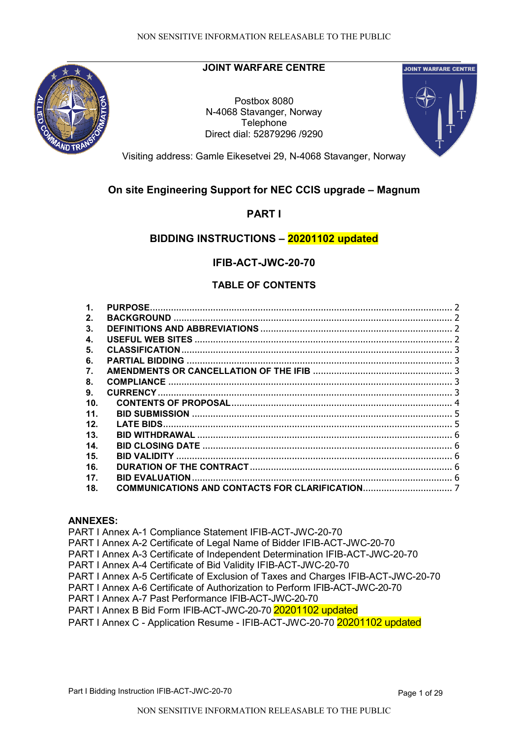

## **JOINT WARFARE CENTRE**

Postbox 8080 N-4068 Stavanger, Norway **Telephone** Direct dial: 52879296 /9290



Visiting address: Gamle Eikesetvei 29, N-4068 Stavanger, Norway

## **On site Engineering Support for NEC CCIS upgrade – Magnum**

## **PART I**

## **BIDDING INSTRUCTIONS – 20201102 updated**

## **IFIB-ACT-JWC-20-70**

## **TABLE OF CONTENTS**

| 1.  | <b>PURPOSE</b>         |  |
|-----|------------------------|--|
| 2.  |                        |  |
| 3.  |                        |  |
| 4.  |                        |  |
| 5.  | <b>CLASSIFICATION</b>  |  |
| 6.  | <b>PARTIAL BIDDING</b> |  |
| 7.  |                        |  |
| 8.  | <b>COMPLIANCE</b>      |  |
| 9.  |                        |  |
| 10. |                        |  |
| 11. |                        |  |
| 12. |                        |  |
| 13. |                        |  |
| 14. |                        |  |
| 15. |                        |  |
| 16. |                        |  |
| 17. |                        |  |
| 18. |                        |  |

#### **ANNEXES:**

PART I Annex A-1 Compliance Statement IFIB-ACT-JWC-20-70 PART I Annex A-2 Certificate of Legal Name of Bidder IFIB-ACT-JWC-20-70 PART I Annex A-3 Certificate of Independent Determination IFIB-ACT-JWC-20-70 PART I Annex A-4 Certificate of Bid Validity IFIB-ACT-JWC-20-70 PART I Annex A-5 Certificate of Exclusion of Taxes and Charges IFIB-ACT-JWC-20-70 PART I Annex A-6 Certificate of Authorization to Perform IFIB-ACT-JWC-20-70 PART I Annex A-7 Past Performance IFIB-ACT-JWC-20-70 PART I Annex B Bid Form IFIB-ACT-JWC-20-70 20201102 updated PART I Annex C - Application Resume - IFIB-ACT-JWC-20-70 20201102 updated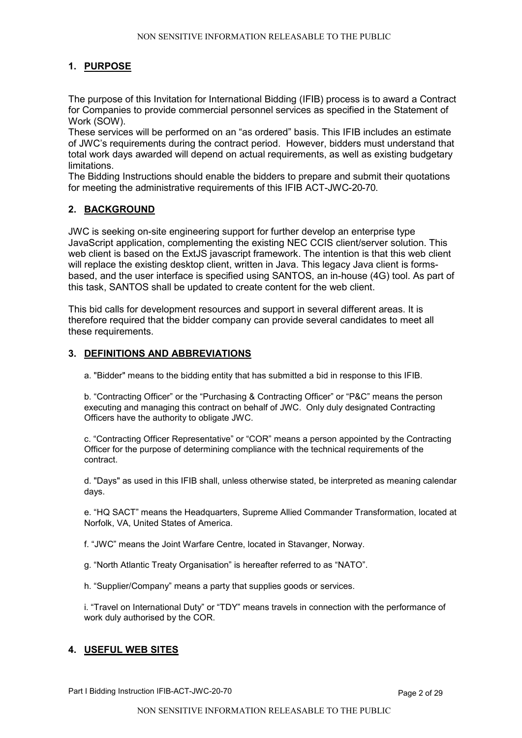### <span id="page-3-0"></span>**1. PURPOSE**

<span id="page-3-1"></span>The purpose of this Invitation for International Bidding (IFIB) process is to award a Contract for Companies to provide commercial personnel services as specified in the Statement of Work (SOW).

These services will be performed on an "as ordered" basis. This IFIB includes an estimate of JWC's requirements during the contract period. However, bidders must understand that total work days awarded will depend on actual requirements, as well as existing budgetary limitations.

The Bidding Instructions should enable the bidders to prepare and submit their quotations for meeting the administrative requirements of this IFIB ACT-JWC-20-70.

#### **2. BACKGROUND**

JWC is seeking on-site engineering support for further develop an enterprise type JavaScript application, complementing the existing NEC CCIS client/server solution. This web client is based on the ExtJS javascript framework. The intention is that this web client will replace the existing desktop client, written in Java. This legacy Java client is formsbased, and the user interface is specified using SANTOS, an in-house (4G) tool. As part of this task, SANTOS shall be updated to create content for the web client.

This bid calls for development resources and support in several different areas. It is therefore required that the bidder company can provide several candidates to meet all these requirements.

#### <span id="page-3-2"></span>**3. DEFINITIONS AND ABBREVIATIONS**

a. "Bidder" means to the bidding entity that has submitted a bid in response to this IFIB.

b. "Contracting Officer" or the "Purchasing & Contracting Officer" or "P&C" means the person executing and managing this contract on behalf of JWC. Only duly designated Contracting Officers have the authority to obligate JWC.

c. "Contracting Officer Representative" or "COR" means a person appointed by the Contracting Officer for the purpose of determining compliance with the technical requirements of the contract.

d. "Days" as used in this IFIB shall, unless otherwise stated, be interpreted as meaning calendar days.

e. "HQ SACT" means the Headquarters, Supreme Allied Commander Transformation, located at Norfolk, VA, United States of America.

f. "JWC" means the Joint Warfare Centre, located in Stavanger, Norway.

g. "North Atlantic Treaty Organisation" is hereafter referred to as "NATO".

h. "Supplier/Company" means a party that supplies goods or services.

i. "Travel on International Duty" or "TDY" means travels in connection with the performance of work duly authorised by the COR.

#### <span id="page-3-3"></span>**4. USEFUL WEB SITES**

Part I Bidding Instruction IFIB-ACT-JWC-20-70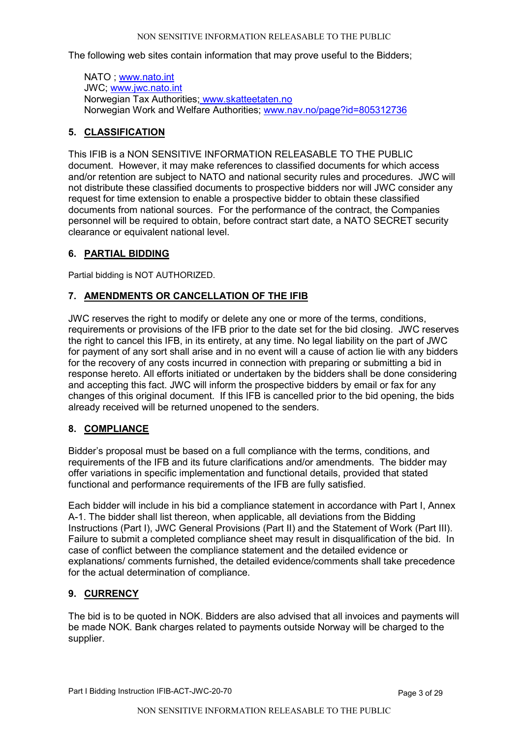The following web sites contain information that may prove useful to the Bidders;

NATO ; [www.nato.int](http://www.nato.int/) JWC; [www.jwc.nato.int](http://www.jwc.nato.int/) Norwegian Tax Authorities; [www.skatteetaten.no](http://www.skatteetaten.no/) Norwegian Work and Welfare Authorities; [www.nav.no/page?id=805312736](http://www.nav.no/page?id=805312736)

### <span id="page-4-0"></span>**5. CLASSIFICATION**

This IFIB is a NON SENSITIVE INFORMATION RELEASABLE TO THE PUBLIC document. However, it may make references to classified documents for which access and/or retention are subject to NATO and national security rules and procedures. JWC will not distribute these classified documents to prospective bidders nor will JWC consider any request for time extension to enable a prospective bidder to obtain these classified documents from national sources. For the performance of the contract, the Companies personnel will be required to obtain, before contract start date, a NATO SECRET security clearance or equivalent national level.

### <span id="page-4-1"></span>**6. PARTIAL BIDDING**

<span id="page-4-2"></span>Partial bidding is NOT AUTHORIZED.

## **7. AMENDMENTS OR CANCELLATION OF THE IFIB**

JWC reserves the right to modify or delete any one or more of the terms, conditions, requirements or provisions of the IFB prior to the date set for the bid closing. JWC reserves the right to cancel this IFB, in its entirety, at any time. No legal liability on the part of JWC for payment of any sort shall arise and in no event will a cause of action lie with any bidders for the recovery of any costs incurred in connection with preparing or submitting a bid in response hereto. All efforts initiated or undertaken by the bidders shall be done considering and accepting this fact. JWC will inform the prospective bidders by email or fax for any changes of this original document. If this IFB is cancelled prior to the bid opening, the bids already received will be returned unopened to the senders.

## <span id="page-4-3"></span>**8. COMPLIANCE**

Bidder's proposal must be based on a full compliance with the terms, conditions, and requirements of the IFB and its future clarifications and/or amendments. The bidder may offer variations in specific implementation and functional details, provided that stated functional and performance requirements of the IFB are fully satisfied.

Each bidder will include in his bid a compliance statement in accordance with Part I, Annex A-1. The bidder shall list thereon, when applicable, all deviations from the Bidding Instructions (Part I), JWC General Provisions (Part II) and the Statement of Work (Part III). Failure to submit a completed compliance sheet may result in disqualification of the bid. In case of conflict between the compliance statement and the detailed evidence or explanations/ comments furnished, the detailed evidence/comments shall take precedence for the actual determination of compliance.

#### <span id="page-4-4"></span>**9. CURRENCY**

<span id="page-4-5"></span>The bid is to be quoted in NOK. Bidders are also advised that all invoices and payments will be made NOK. Bank charges related to payments outside Norway will be charged to the supplier.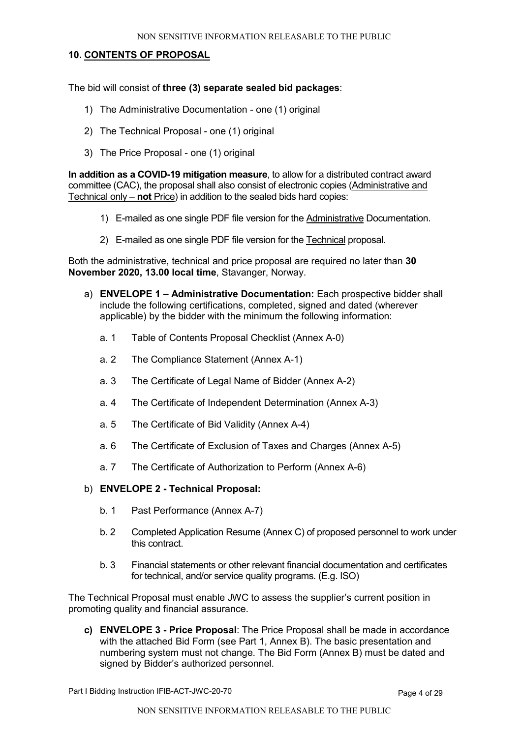#### **10. CONTENTS OF PROPOSAL**

The bid will consist of **three (3) separate sealed bid packages**:

- 1) The Administrative Documentation one (1) original
- 2) The Technical Proposal one (1) original
- 3) The Price Proposal one (1) original

**In addition as a COVID-19 mitigation measure**, to allow for a distributed contract award committee (CAC), the proposal shall also consist of electronic copies (Administrative and Technical only – **not** Price) in addition to the sealed bids hard copies:

- 1) E-mailed as one single PDF file version for the Administrative Documentation.
- 2) E-mailed as one single PDF file version for the Technical proposal.

Both the administrative, technical and price proposal are required no later than **30 November 2020, 13.00 local time**, Stavanger, Norway.

- a) **ENVELOPE 1 – Administrative Documentation:** Each prospective bidder shall include the following certifications, completed, signed and dated (wherever applicable) by the bidder with the minimum the following information:
	- a. 1 Table of Contents Proposal Checklist (Annex A-0)
	- a. 2 The Compliance Statement (Annex A-1)
	- a. 3 The Certificate of Legal Name of Bidder (Annex A-2)
	- a. 4 The Certificate of Independent Determination (Annex A-3)
	- a. 5 The Certificate of Bid Validity (Annex A-4)
	- a. 6 The Certificate of Exclusion of Taxes and Charges (Annex A-5)
	- a. 7 The Certificate of Authorization to Perform (Annex A-6)
- b) **ENVELOPE 2 - Technical Proposal:**
	- b. 1 Past Performance (Annex A-7)
	- b. 2 Completed Application Resume (Annex C) of proposed personnel to work under this contract.
	- b. 3 Financial statements or other relevant financial documentation and certificates for technical, and/or service quality programs. (E.g. ISO)

The Technical Proposal must enable JWC to assess the supplier's current position in promoting quality and financial assurance.

<span id="page-5-0"></span>**c) ENVELOPE 3 - Price Proposal**: The Price Proposal shall be made in accordance with the attached Bid Form (see Part 1, Annex B). The basic presentation and numbering system must not change. The Bid Form (Annex B) must be dated and signed by Bidder's authorized personnel.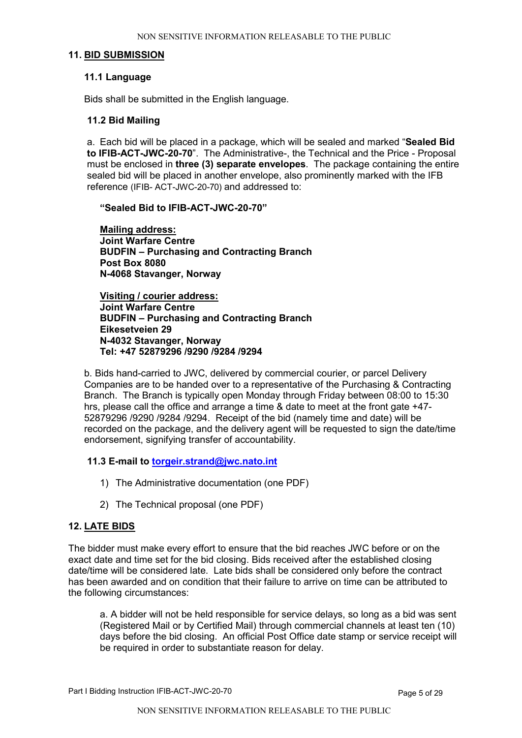#### **11. BID SUBMISSION**

#### **11.1 Language**

Bids shall be submitted in the English language.

#### **11.2 Bid Mailing**

a. Each bid will be placed in a package, which will be sealed and marked "**Sealed Bid to IFIB-ACT-JWC-20-70**". The Administrative-, the Technical and the Price - Proposal must be enclosed in **three (3) separate envelopes**. The package containing the entire sealed bid will be placed in another envelope, also prominently marked with the IFB reference (IFIB- ACT-JWC-20-70) and addressed to:

**"Sealed Bid to IFIB-ACT-JWC-20-70"**

**Mailing address: Joint Warfare Centre BUDFIN – Purchasing and Contracting Branch Post Box 8080 N-4068 Stavanger, Norway**

**Visiting / courier address: Joint Warfare Centre BUDFIN – Purchasing and Contracting Branch Eikesetveien 29 N-4032 Stavanger, Norway Tel: +47 52879296 /9290 /9284 /9294**

b. Bids hand-carried to JWC, delivered by commercial courier, or parcel Delivery Companies are to be handed over to a representative of the Purchasing & Contracting Branch. The Branch is typically open Monday through Friday between 08:00 to 15:30 hrs, please call the office and arrange a time & date to meet at the front gate +47- 52879296 /9290 /9284 /9294. Receipt of the bid (namely time and date) will be recorded on the package, and the delivery agent will be requested to sign the date/time endorsement, signifying transfer of accountability.

**11.3 E-mail to [torgeir.strand@jwc.nato.int](mailto:torgeir.strand@jwc.nato.int)** 

- 1) The Administrative documentation (one PDF)
- 2) The Technical proposal (one PDF)

#### <span id="page-6-0"></span>**12. LATE BIDS**

The bidder must make every effort to ensure that the bid reaches JWC before or on the exact date and time set for the bid closing. Bids received after the established closing date/time will be considered late. Late bids shall be considered only before the contract has been awarded and on condition that their failure to arrive on time can be attributed to the following circumstances:

a. A bidder will not be held responsible for service delays, so long as a bid was sent (Registered Mail or by Certified Mail) through commercial channels at least ten (10) days before the bid closing. An official Post Office date stamp or service receipt will be required in order to substantiate reason for delay.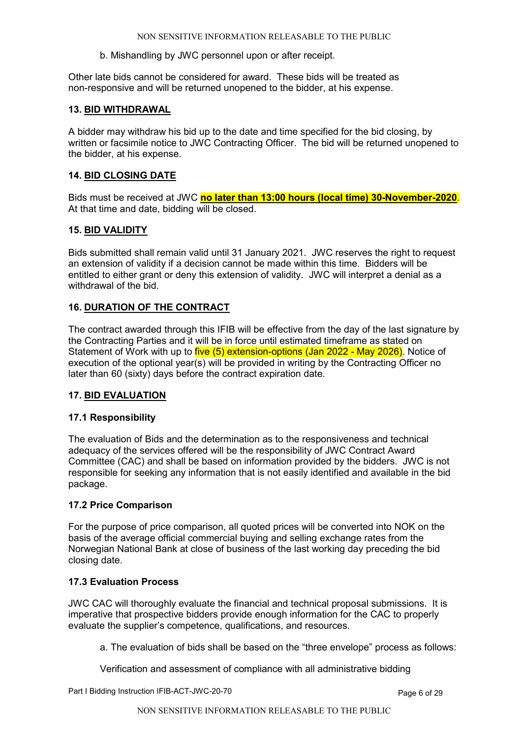b. Mishandling by JWC personnel upon or after receipt.

Other late bids cannot be considered for award. These bids will be treated as non-responsive and will be returned unopened to the bidder, at his expense.

#### <span id="page-7-0"></span>**13. BID WITHDRAWAL**

A bidder may withdraw his bid up to the date and time specified for the bid closing, by written or facsimile notice to JWC Contracting Officer. The bid will be returned unopened to the bidder, at his expense.

#### <span id="page-7-1"></span>**14. BID CLOSING DATE**

Bids must be received at JWC **no later than 13:00 hours (local time) 30-November-2020**. At that time and date, bidding will be closed.

#### <span id="page-7-2"></span>**15. BID VALIDITY**

Bids submitted shall remain valid until 31 January 2021. JWC reserves the right to request an extension of validity if a decision cannot be made within this time. Bidders will be entitled to either grant or deny this extension of validity. JWC will interpret a denial as a withdrawal of the bid.

#### <span id="page-7-3"></span>**16. DURATION OF THE CONTRACT**

The contract awarded through this IFIB will be effective from the day of the last signature by the Contracting Parties and it will be in force until estimated timeframe as stated on Statement of Work with up to five (5) extension-options (Jan 2022 - May 2026). Notice of execution of the optional year(s) will be provided in writing by the Contracting Officer no later than 60 (sixty) days before the contract expiration date.

#### <span id="page-7-4"></span>**17. BID EVALUATION**

#### **17.1 Responsibility**

The evaluation of Bids and the determination as to the responsiveness and technical adequacy of the services offered will be the responsibility of JWC Contract Award Committee (CAC) and shall be based on information provided by the bidders. JWC is not responsible for seeking any information that is not easily identified and available in the bid package.

#### **17.2 Price Comparison**

For the purpose of price comparison, all quoted prices will be converted into NOK on the basis of the average official commercial buying and selling exchange rates from the Norwegian National Bank at close of business of the last working day preceding the bid closing date.

#### **17.3 Evaluation Process**

JWC CAC will thoroughly evaluate the financial and technical proposal submissions. It is imperative that prospective bidders provide enough information for the CAC to properly evaluate the supplier's competence, qualifications, and resources.

a. The evaluation of bids shall be based on the "three envelope" process as follows:

Verification and assessment of compliance with all administrative bidding

Part I Bidding Instruction IFIB-ACT-JWC-20-70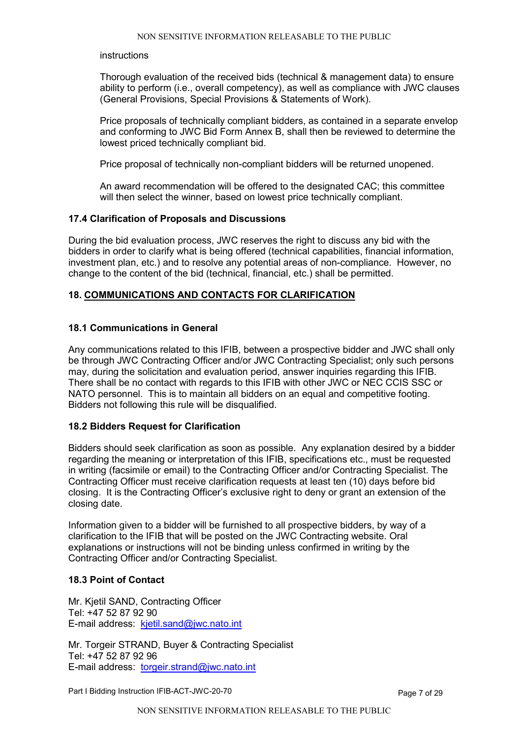#### instructions

Thorough evaluation of the received bids (technical & management data) to ensure ability to perform (i.e., overall competency), as well as compliance with JWC clauses (General Provisions, Special Provisions & Statements of Work).

Price proposals of technically compliant bidders, as contained in a separate envelop and conforming to JWC Bid Form Annex B, shall then be reviewed to determine the lowest priced technically compliant bid.

Price proposal of technically non-compliant bidders will be returned unopened.

An award recommendation will be offered to the designated CAC; this committee will then select the winner, based on lowest price technically compliant.

#### **17.4 Clarification of Proposals and Discussions**

During the bid evaluation process, JWC reserves the right to discuss any bid with the bidders in order to clarify what is being offered (technical capabilities, financial information, investment plan, etc.) and to resolve any potential areas of non-compliance. However, no change to the content of the bid (technical, financial, etc.) shall be permitted.

#### <span id="page-8-0"></span>**18. COMMUNICATIONS AND CONTACTS FOR CLARIFICATION**

#### **18.1 Communications in General**

Any communications related to this IFIB, between a prospective bidder and JWC shall only be through JWC Contracting Officer and/or JWC Contracting Specialist; only such persons may, during the solicitation and evaluation period, answer inquiries regarding this IFIB. There shall be no contact with regards to this IFIB with other JWC or NEC CCIS SSC or NATO personnel. This is to maintain all bidders on an equal and competitive footing. Bidders not following this rule will be disqualified.

#### **18.2 Bidders Request for Clarification**

Bidders should seek clarification as soon as possible. Any explanation desired by a bidder regarding the meaning or interpretation of this IFIB, specifications etc., must be requested in writing (facsimile or email) to the Contracting Officer and/or Contracting Specialist. The Contracting Officer must receive clarification requests at least ten (10) days before bid closing. It is the Contracting Officer's exclusive right to deny or grant an extension of the closing date.

Information given to a bidder will be furnished to all prospective bidders, by way of a clarification to the IFIB that will be posted on the JWC Contracting website. Oral explanations or instructions will not be binding unless confirmed in writing by the Contracting Officer and/or Contracting Specialist.

#### **18.3 Point of Contact**

Mr. Kjetil SAND, Contracting Officer Tel: +47 52 87 92 90 E-mail address: [kjetil.sand@jwc.nato.int](mailto:kjetil.sand@jwc.nato.int) 

Mr. Torgeir STRAND, Buyer & Contracting Specialist Tel: +47 52 87 92 96 E-mail address: [torgeir.strand@jwc.nato.int](mailto:torgeir.strand@jwc.nato.int)

Part I Bidding Instruction IFIB-ACT-JWC-20-70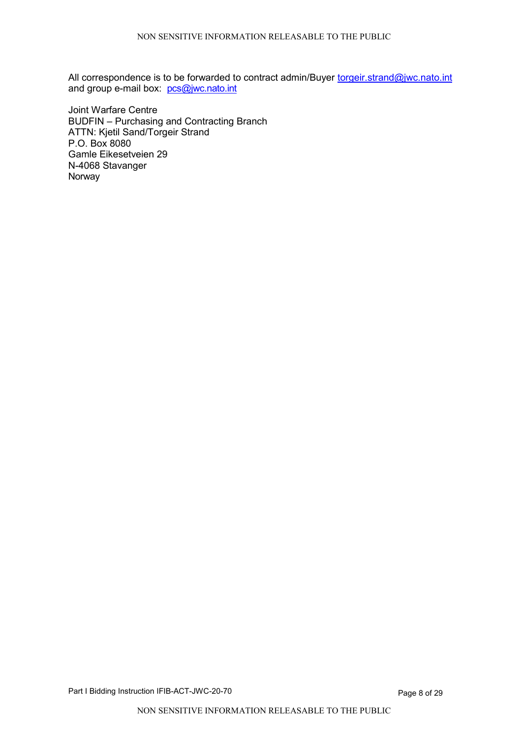All correspondence is to be forwarded to contract admin/Buyer [torgeir.strand@jwc.nato.int](mailto:torgeir.strand@jwc.nato.int) and group e-mail box: [pcs@jwc.nato.int](mailto:pcs@jwc.nato.int)

Joint Warfare Centre BUDFIN – Purchasing and Contracting Branch ATTN: Kjetil Sand/Torgeir Strand P.O. Box 8080 Gamle Eikesetveien 29 N-4068 Stavanger Norway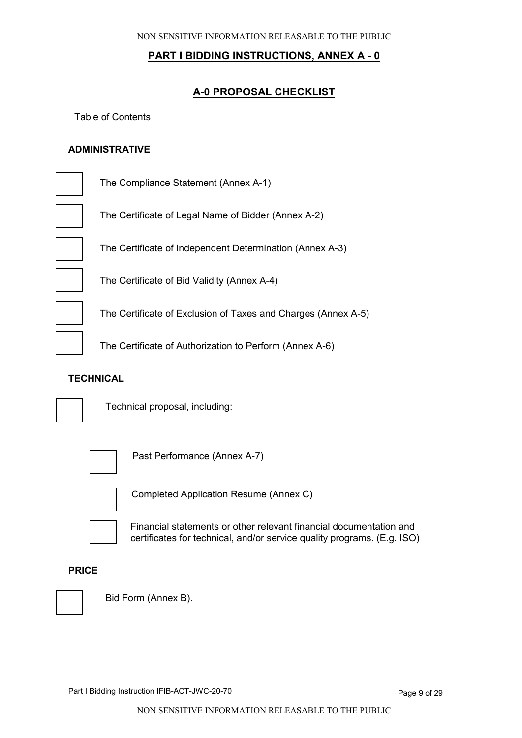## **A-0 PROPOSAL CHECKLIST**

Table of Contents

## **ADMINISTRATIVE**

| The Compliance Statement (Annex A-1)                          |
|---------------------------------------------------------------|
| The Certificate of Legal Name of Bidder (Annex A-2)           |
| The Certificate of Independent Determination (Annex A-3)      |
| The Certificate of Bid Validity (Annex A-4)                   |
| The Certificate of Exclusion of Taxes and Charges (Annex A-5) |
| The Certificate of Authorization to Perform (Annex A-6)       |

#### **TECHNICAL**



Technical proposal, including:



Past Performance (Annex A-7)



Completed Application Resume (Annex C)

Financial statements or other relevant financial documentation and certificates for technical, and/or service quality programs. (E.g. ISO)

#### **PRICE**



Bid Form (Annex B).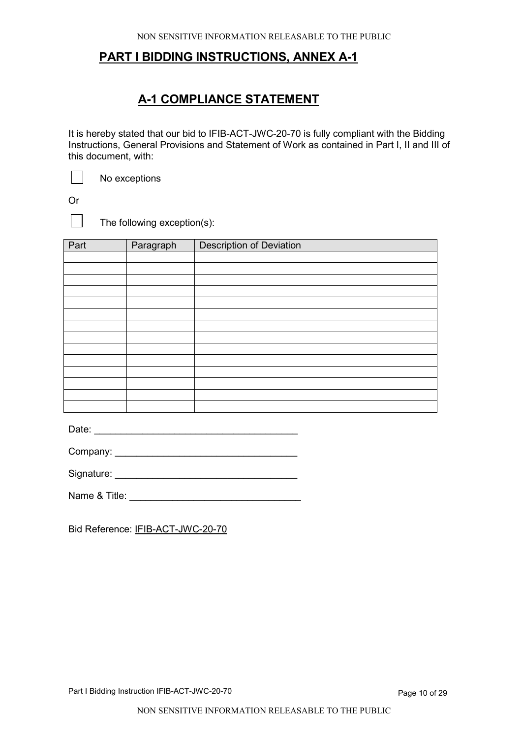# **A-1 COMPLIANCE STATEMENT**

It is hereby stated that our bid to IFIB-ACT-JWC-20-70 is fully compliant with the Bidding Instructions, General Provisions and Statement of Work as contained in Part I, II and III of this document, with:

No exceptions

Or

 $\blacksquare$ 

The following exception(s):

| Part | Paragraph | <b>Description of Deviation</b> |
|------|-----------|---------------------------------|
|      |           |                                 |
|      |           |                                 |
|      |           |                                 |
|      |           |                                 |
|      |           |                                 |
|      |           |                                 |
|      |           |                                 |
|      |           |                                 |
|      |           |                                 |
|      |           |                                 |
|      |           |                                 |
|      |           |                                 |
|      |           |                                 |
|      |           |                                 |

Date:

Company: \_\_\_\_\_\_\_\_\_\_\_\_\_\_\_\_\_\_\_\_\_\_\_\_\_\_\_\_\_\_\_\_\_\_

Signature: \_\_\_\_\_\_\_\_\_\_\_\_\_\_\_\_\_\_\_\_\_\_\_\_\_\_\_\_\_\_\_\_\_\_

Name & Title: **We have all the set of the set of the set of the set of the set of the set of the set of the set of the set of the set of the set of the set of the set of the set of the set of the set of the set of the set** 

Bid Reference: IFIB-ACT-JWC-20-70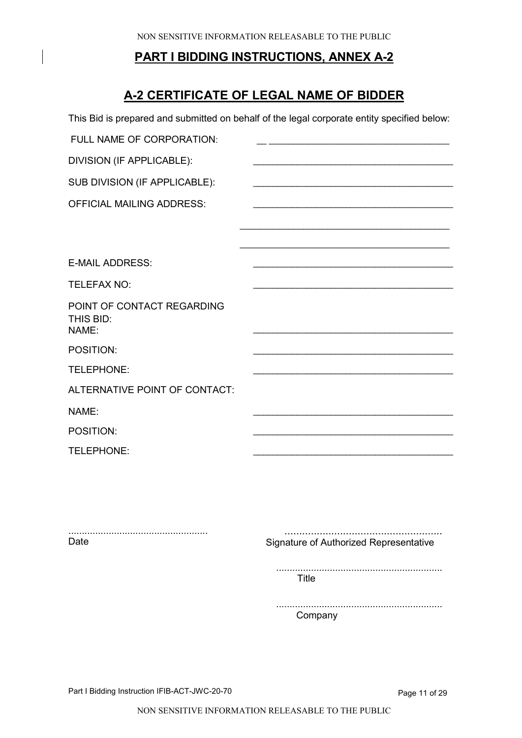# **A-2 CERTIFICATE OF LEGAL NAME OF BIDDER**

|                                                  | This Bid is prepared and submitted on behalf of the legal corporate entity specified below: |
|--------------------------------------------------|---------------------------------------------------------------------------------------------|
| FULL NAME OF CORPORATION:                        |                                                                                             |
| DIVISION (IF APPLICABLE):                        |                                                                                             |
| SUB DIVISION (IF APPLICABLE):                    |                                                                                             |
| <b>OFFICIAL MAILING ADDRESS:</b>                 |                                                                                             |
|                                                  |                                                                                             |
|                                                  |                                                                                             |
| <b>E-MAIL ADDRESS:</b>                           |                                                                                             |
| <b>TELEFAX NO:</b>                               |                                                                                             |
| POINT OF CONTACT REGARDING<br>THIS BID:<br>NAME: |                                                                                             |
| POSITION:                                        |                                                                                             |
| TELEPHONE:                                       |                                                                                             |
| ALTERNATIVE POINT OF CONTACT:                    |                                                                                             |
| NAME:                                            |                                                                                             |
| POSITION:                                        |                                                                                             |
| TELEPHONE:                                       |                                                                                             |
|                                                  |                                                                                             |
|                                                  |                                                                                             |

.................................................... Date

...................................................... Signature of Authorized Representative

.............................................................. Title

.............................................................. Company

Part I Bidding Instruction IFIB-ACT-JWC-20-70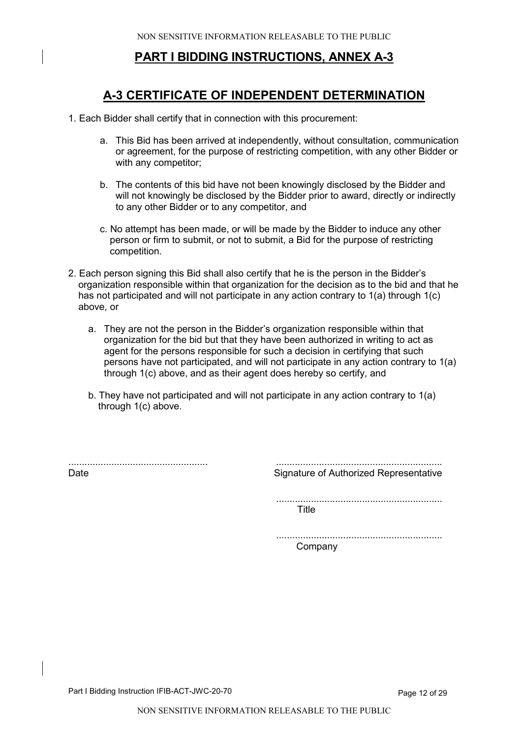# **A-3 CERTIFICATE OF INDEPENDENT DETERMINATION**

- 1. Each Bidder shall certify that in connection with this procurement:
	- a. This Bid has been arrived at independently, without consultation, communication or agreement, for the purpose of restricting competition, with any other Bidder or with any competitor;
	- b. The contents of this bid have not been knowingly disclosed by the Bidder and will not knowingly be disclosed by the Bidder prior to award, directly or indirectly to any other Bidder or to any competitor, and
	- c. No attempt has been made, or will be made by the Bidder to induce any other person or firm to submit, or not to submit, a Bid for the purpose of restricting competition.
- 2. Each person signing this Bid shall also certify that he is the person in the Bidder's organization responsible within that organization for the decision as to the bid and that he has not participated and will not participate in any action contrary to 1(a) through 1(c) above, or
	- a. They are not the person in the Bidder's organization responsible within that organization for the bid but that they have been authorized in writing to act as agent for the persons responsible for such a decision in certifying that such persons have not participated, and will not participate in any action contrary to 1(a) through 1(c) above, and as their agent does hereby so certify, and
	- b. They have not participated and will not participate in any action contrary to 1(a) through 1(c) above.

.................................................... Date

.............................................................. Signature of Authorized Representative

.............................................................. Title

.............................................................. Company

Part I Bidding Instruction IFIB-ACT-JWC-20-70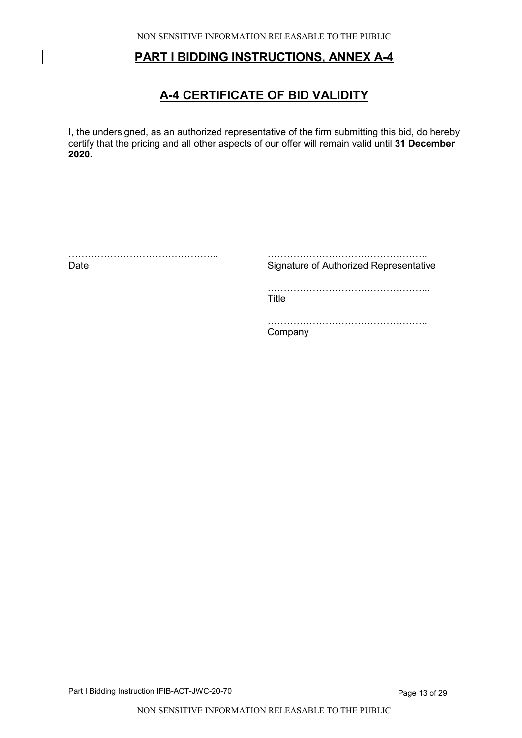# **A-4 CERTIFICATE OF BID VALIDITY**

I, the undersigned, as an authorized representative of the firm submitting this bid, do hereby certify that the pricing and all other aspects of our offer will remain valid until **31 December 2020.**

| Date | Signature of Authorized Representative |
|------|----------------------------------------|
|      | Title                                  |
|      | <br>mnanv                              |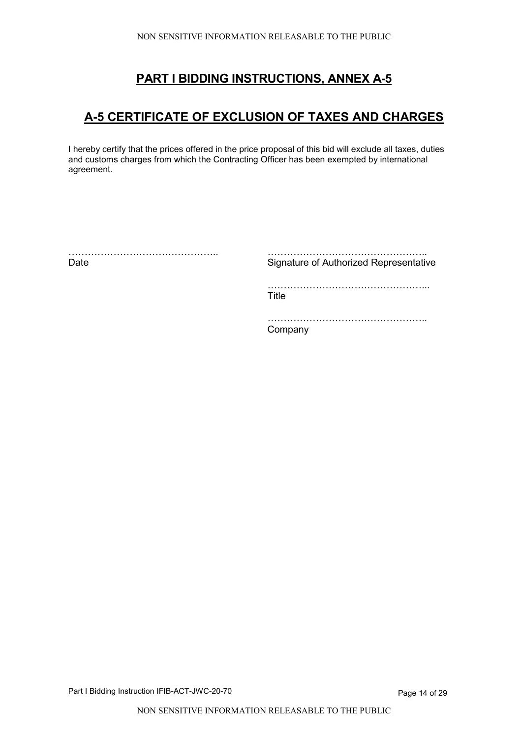# **A-5 CERTIFICATE OF EXCLUSION OF TAXES AND CHARGES**

I hereby certify that the prices offered in the price proposal of this bid will exclude all taxes, duties and customs charges from which the Contracting Officer has been exempted by international agreement.

| Date | Signature of Authorized Representative |
|------|----------------------------------------|
|      | Title                                  |
|      | Company                                |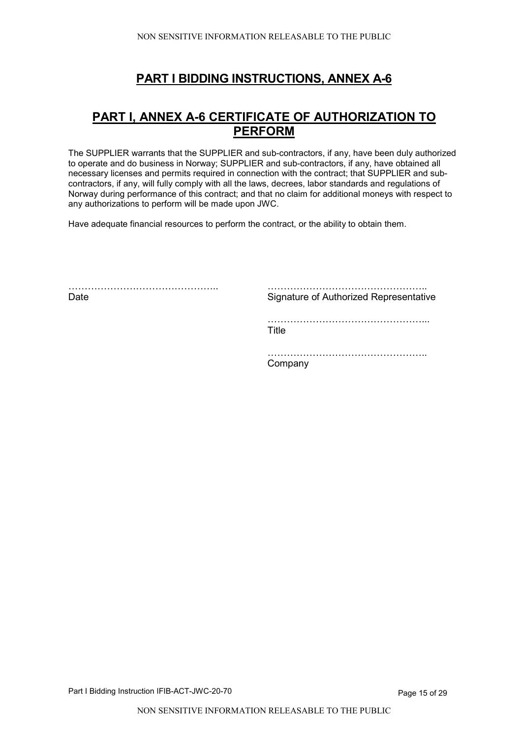# **PART I, ANNEX A-6 CERTIFICATE OF AUTHORIZATION TO PERFORM**

The SUPPLIER warrants that the SUPPLIER and sub-contractors, if any, have been duly authorized to operate and do business in Norway; SUPPLIER and sub-contractors, if any, have obtained all necessary licenses and permits required in connection with the contract; that SUPPLIER and subcontractors, if any, will fully comply with all the laws, decrees, labor standards and regulations of Norway during performance of this contract; and that no claim for additional moneys with respect to any authorizations to perform will be made upon JWC.

Have adequate financial resources to perform the contract, or the ability to obtain them.

……………………………………….. Date

……………………………………………… Signature of Authorized Representative

…………………………………………... **Title** 

………………………………………………

**Company** 

Part I Bidding Instruction IFIB-ACT-JWC-20-70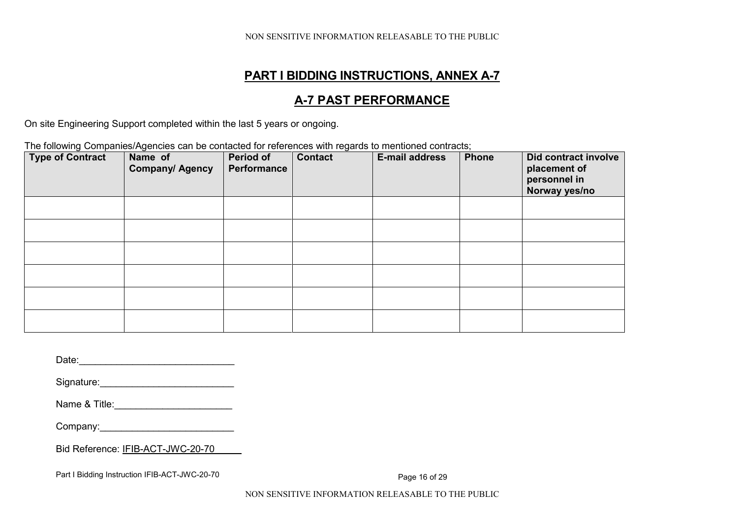# **A-7 PAST PERFORMANCE**

On site Engineering Support completed within the last 5 years or ongoing.

The following Companies/Agencies can be contacted for references with regards to mentioned contracts;

| <b>Type of Contract</b> | Name of<br><b>Company/ Agency</b> | Period of<br>Performance | <b>Contact</b> | <b>E-mail address</b> | <b>Phone</b> | <b>Did contract involve</b><br>placement of<br>personnel in<br>Norway yes/no |
|-------------------------|-----------------------------------|--------------------------|----------------|-----------------------|--------------|------------------------------------------------------------------------------|
|                         |                                   |                          |                |                       |              |                                                                              |
|                         |                                   |                          |                |                       |              |                                                                              |
|                         |                                   |                          |                |                       |              |                                                                              |
|                         |                                   |                          |                |                       |              |                                                                              |
|                         |                                   |                          |                |                       |              |                                                                              |
|                         |                                   |                          |                |                       |              |                                                                              |

Date:\_\_\_\_\_\_\_\_\_\_\_\_\_\_\_\_\_\_\_\_\_\_\_\_\_\_\_\_\_

Signature:\_\_\_\_\_\_\_\_\_\_\_\_\_\_\_\_\_\_\_\_\_\_\_\_\_

Name & Title:\_\_\_\_\_\_\_\_\_\_\_\_\_\_\_\_\_\_\_\_\_\_

Company:\_\_\_\_\_\_\_\_\_\_\_\_\_\_\_\_\_\_\_\_\_\_\_\_\_

Bid Reference: IFIB-ACT-JWC-20-70

Part I Bidding Instruction IFIB-ACT-JWC-20-70

Page 16 of 29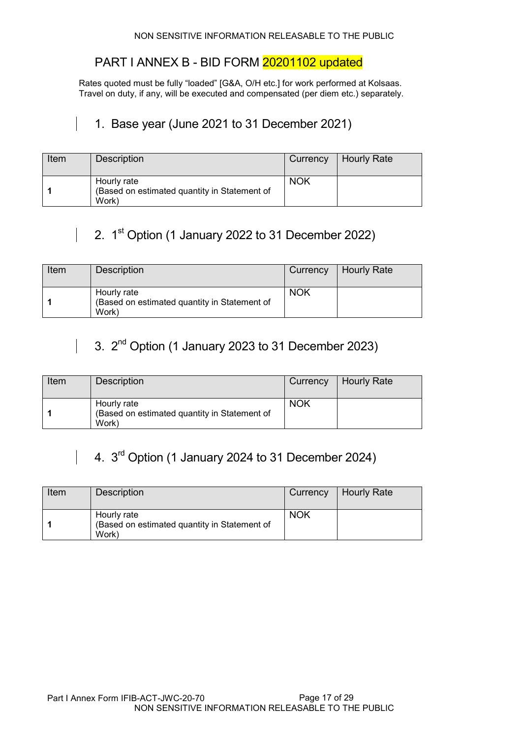# PART I ANNEX B - BID FORM 20201102 updated

Rates quoted must be fully "loaded" [G&A, O/H etc.] for work performed at Kolsaas. Travel on duty, if any, will be executed and compensated (per diem etc.) separately.

# 1. Base year (June 2021 to 31 December 2021)

| Item | <b>Description</b>                                                   |            | Currency   Hourly Rate |
|------|----------------------------------------------------------------------|------------|------------------------|
|      | Hourly rate<br>(Based on estimated quantity in Statement of<br>Work) | <b>NOK</b> |                        |

# 2.  $1<sup>st</sup>$  Option (1 January 2022 to 31 December 2022)

| Item | <b>Description</b>                                                   | Currency   | Hourly Rate |
|------|----------------------------------------------------------------------|------------|-------------|
|      | Hourly rate<br>(Based on estimated quantity in Statement of<br>Work) | <b>NOK</b> |             |

# 3. 2nd Option (1 January 2023 to 31 December 2023)

 $\overline{1}$ 

 $\mathbf{I}$ 

| Item | <b>Description</b>                                                   | Currency   | Hourly Rate |
|------|----------------------------------------------------------------------|------------|-------------|
|      | Hourly rate<br>(Based on estimated quantity in Statement of<br>Work) | <b>NOK</b> |             |

# 4. 3<sup>rd</sup> Option (1 January 2024 to 31 December 2024)

| Item | <b>Description</b>                                                   | Currency   | Hourly Rate |
|------|----------------------------------------------------------------------|------------|-------------|
|      | Hourly rate<br>(Based on estimated quantity in Statement of<br>Work) | <b>NOK</b> |             |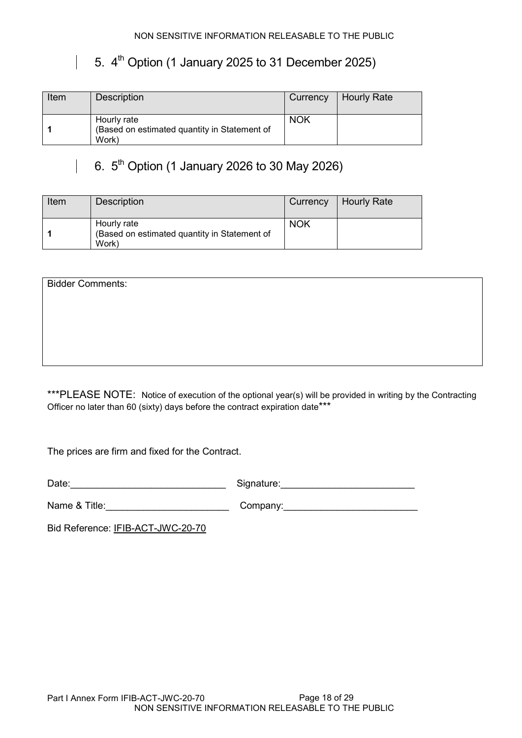# 5.  $4<sup>th</sup>$  Option (1 January 2025 to 31 December 2025)

| Item | Description                                                          | Currency   | Hourly Rate |
|------|----------------------------------------------------------------------|------------|-------------|
|      | Hourly rate<br>(Based on estimated quantity in Statement of<br>Work) | <b>NOK</b> |             |

# 6.  $5^{th}$  Option (1 January 2026 to 30 May 2026)

| Item | <b>Description</b>                                                   | Currency   | Hourly Rate |
|------|----------------------------------------------------------------------|------------|-------------|
|      | Hourly rate<br>(Based on estimated quantity in Statement of<br>Work) | <b>NOK</b> |             |

Bidder Comments:

 $\mathbb{R}$ 

\*\*\*PLEASE NOTE: Notice of execution of the optional year(s) will be provided in writing by the Contracting Officer no later than 60 (sixty) days before the contract expiration date\*\*\*

The prices are firm and fixed for the Contract.

Date:\_\_\_\_\_\_\_\_\_\_\_\_\_\_\_\_\_\_\_\_\_\_\_\_\_\_\_\_\_ Signature:\_\_\_\_\_\_\_\_\_\_\_\_\_\_\_\_\_\_\_\_\_\_\_\_\_

Name & Title:\_\_\_\_\_\_\_\_\_\_\_\_\_\_\_\_\_\_\_\_\_\_\_ Company:\_\_\_\_\_\_\_\_\_\_\_\_\_\_\_\_\_\_\_\_\_\_\_\_\_

Bid Reference: IFIB-ACT-JWC-20-70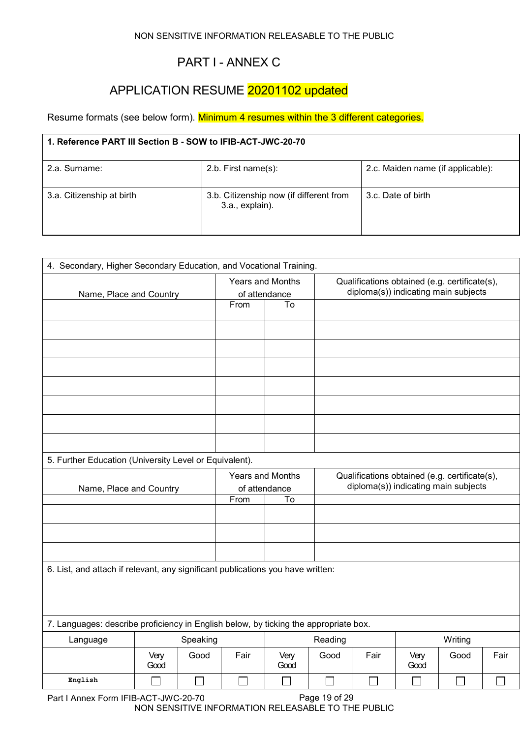# PART I - ANNEX C

# APPLICATION RESUME 20201102 updated

Resume formats (see below form). Minimum 4 resumes within the 3 different categories.

| 1. Reference PART III Section B - SOW to IFIB-ACT-JWC-20-70 |                                                            |                                   |  |  |  |  |  |
|-------------------------------------------------------------|------------------------------------------------------------|-----------------------------------|--|--|--|--|--|
| 2.a. Surname:                                               | 2.b. First name $(s)$ :                                    | 2.c. Maiden name (if applicable): |  |  |  |  |  |
| 3.a. Citizenship at birth                                   | 3.b. Citizenship now (if different from<br>3.a., explain). | 3.c. Date of birth                |  |  |  |  |  |

| 4. Secondary, Higher Secondary Education, and Vocational Training.                   |                         |          |      |                     |         |      |                                                                                       |         |      |
|--------------------------------------------------------------------------------------|-------------------------|----------|------|---------------------|---------|------|---------------------------------------------------------------------------------------|---------|------|
|                                                                                      |                         |          |      | Years and Months    |         |      | Qualifications obtained (e.g. certificate(s),<br>diploma(s)) indicating main subjects |         |      |
|                                                                                      | Name, Place and Country |          | From | of attendance<br>To |         |      |                                                                                       |         |      |
|                                                                                      |                         |          |      |                     |         |      |                                                                                       |         |      |
|                                                                                      |                         |          |      |                     |         |      |                                                                                       |         |      |
|                                                                                      |                         |          |      |                     |         |      |                                                                                       |         |      |
|                                                                                      |                         |          |      |                     |         |      |                                                                                       |         |      |
|                                                                                      |                         |          |      |                     |         |      |                                                                                       |         |      |
|                                                                                      |                         |          |      |                     |         |      |                                                                                       |         |      |
|                                                                                      |                         |          |      |                     |         |      |                                                                                       |         |      |
| 5. Further Education (University Level or Equivalent).                               |                         |          |      |                     |         |      |                                                                                       |         |      |
|                                                                                      |                         |          |      | Years and Months    |         |      | Qualifications obtained (e.g. certificate(s),                                         |         |      |
| Name, Place and Country                                                              |                         |          |      | of attendance       |         |      | diploma(s)) indicating main subjects                                                  |         |      |
|                                                                                      |                         |          | From | To                  |         |      |                                                                                       |         |      |
|                                                                                      |                         |          |      |                     |         |      |                                                                                       |         |      |
|                                                                                      |                         |          |      |                     |         |      |                                                                                       |         |      |
|                                                                                      |                         |          |      |                     |         |      |                                                                                       |         |      |
| 6. List, and attach if relevant, any significant publications you have written:      |                         |          |      |                     |         |      |                                                                                       |         |      |
|                                                                                      |                         |          |      |                     |         |      |                                                                                       |         |      |
|                                                                                      |                         |          |      |                     |         |      |                                                                                       |         |      |
| 7. Languages: describe proficiency in English below, by ticking the appropriate box. |                         |          |      |                     |         |      |                                                                                       |         |      |
| Language                                                                             |                         | Speaking |      |                     | Reading |      |                                                                                       | Writing |      |
|                                                                                      | Very<br>Good            | Good     | Fair | Very<br>Good        | Good    | Fair | Very<br>Good                                                                          | Good    | Fair |
| English                                                                              |                         |          |      |                     |         |      |                                                                                       |         |      |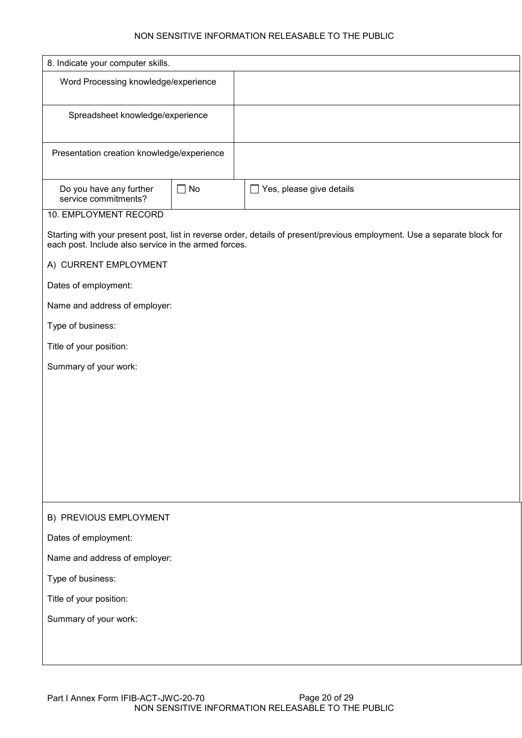| 8. Indicate your computer skills.                    |           |                                                                                                                          |
|------------------------------------------------------|-----------|--------------------------------------------------------------------------------------------------------------------------|
| Word Processing knowledge/experience                 |           |                                                                                                                          |
| Spreadsheet knowledge/experience                     |           |                                                                                                                          |
| Presentation creation knowledge/experience           |           |                                                                                                                          |
| Do you have any further<br>service commitments?      | $\Box$ No | Yes, please give details<br>$\mathcal{L}_{\mathcal{A}}$                                                                  |
| 10. EMPLOYMENT RECORD                                |           |                                                                                                                          |
| each post. Include also service in the armed forces. |           | Starting with your present post, list in reverse order, details of present/previous employment. Use a separate block for |
| A) CURRENT EMPLOYMENT                                |           |                                                                                                                          |
| Dates of employment:                                 |           |                                                                                                                          |
| Name and address of employer:                        |           |                                                                                                                          |
| Type of business:                                    |           |                                                                                                                          |
| Title of your position:                              |           |                                                                                                                          |
| Summary of your work:                                |           |                                                                                                                          |
|                                                      |           |                                                                                                                          |
|                                                      |           |                                                                                                                          |
|                                                      |           |                                                                                                                          |
|                                                      |           |                                                                                                                          |
|                                                      |           |                                                                                                                          |
|                                                      |           |                                                                                                                          |
| B) PREVIOUS EMPLOYMENT                               |           |                                                                                                                          |
| Dates of employment:                                 |           |                                                                                                                          |
| Name and address of employer:                        |           |                                                                                                                          |
| Type of business:                                    |           |                                                                                                                          |
| Title of your position:                              |           |                                                                                                                          |
| Summary of your work:                                |           |                                                                                                                          |
|                                                      |           |                                                                                                                          |
|                                                      |           |                                                                                                                          |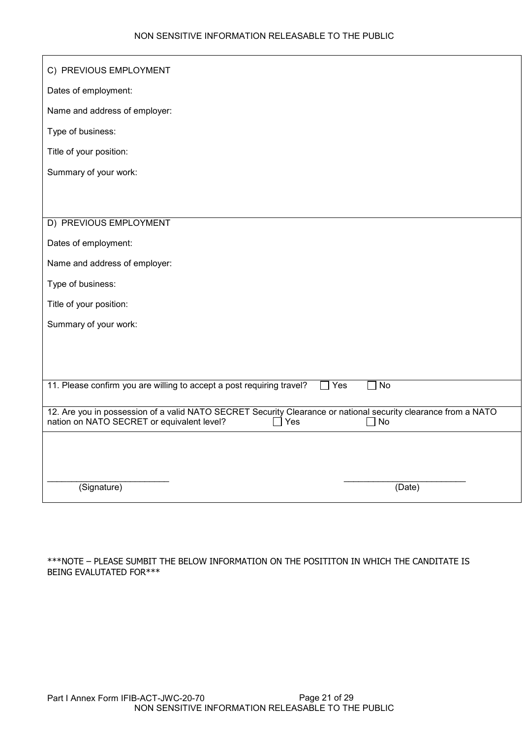| C) PREVIOUS EMPLOYMENT                                                                                                                                                                             |
|----------------------------------------------------------------------------------------------------------------------------------------------------------------------------------------------------|
| Dates of employment:                                                                                                                                                                               |
| Name and address of employer:                                                                                                                                                                      |
| Type of business:                                                                                                                                                                                  |
| Title of your position:                                                                                                                                                                            |
| Summary of your work:                                                                                                                                                                              |
|                                                                                                                                                                                                    |
|                                                                                                                                                                                                    |
| D) PREVIOUS EMPLOYMENT                                                                                                                                                                             |
| Dates of employment:                                                                                                                                                                               |
| Name and address of employer:                                                                                                                                                                      |
| Type of business:                                                                                                                                                                                  |
| Title of your position:                                                                                                                                                                            |
| Summary of your work:                                                                                                                                                                              |
|                                                                                                                                                                                                    |
|                                                                                                                                                                                                    |
| 11. Please confirm you are willing to accept a post requiring travel?<br>No<br>$\square$ Yes                                                                                                       |
| 12. Are you in possession of a valid NATO SECRET Security Clearance or national security clearance from a NATO<br>nation on NATO SECRET or equivalent level?<br>$\Box$ Yes<br>No<br>$\blacksquare$ |
|                                                                                                                                                                                                    |
|                                                                                                                                                                                                    |
| (Signature)<br>(Date)                                                                                                                                                                              |
|                                                                                                                                                                                                    |

\*\*\*NOTE – PLEASE SUMBIT THE BELOW INFORMATION ON THE POSITITON IN WHICH THE CANDITATE IS BEING EVALUTATED FOR\*\*\*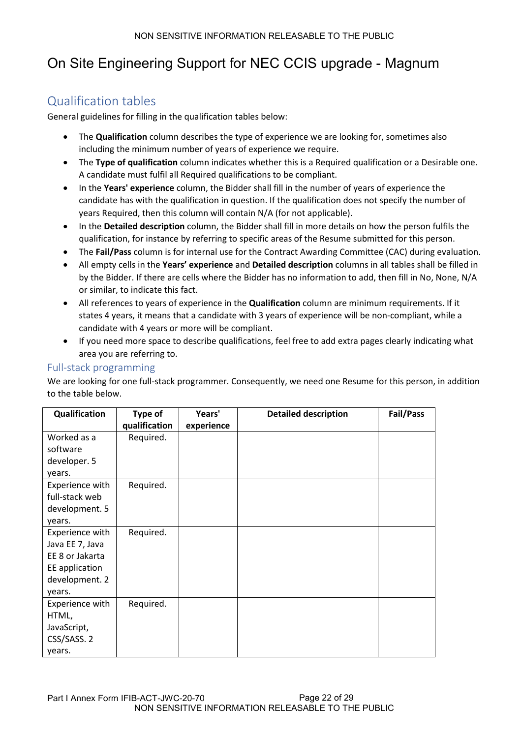# On Site Engineering Support for NEC CCIS upgrade - Magnum

# Qualification tables

General guidelines for filling in the qualification tables below:

- The **Qualification** column describes the type of experience we are looking for, sometimes also including the minimum number of years of experience we require.
- The **Type of qualification** column indicates whether this is a Required qualification or a Desirable one. A candidate must fulfil all Required qualifications to be compliant.
- In the **Years' experience** column, the Bidder shall fill in the number of years of experience the candidate has with the qualification in question. If the qualification does not specify the number of years Required, then this column will contain N/A (for not applicable).
- In the **Detailed description** column, the Bidder shall fill in more details on how the person fulfils the qualification, for instance by referring to specific areas of the Resume submitted for this person.
- The **Fail/Pass** column is for internal use for the Contract Awarding Committee (CAC) during evaluation.
- All empty cells in the **Years' experience** and **Detailed description** columns in all tables shall be filled in by the Bidder. If there are cells where the Bidder has no information to add, then fill in No, None, N/A or similar, to indicate this fact.
- All references to years of experience in the **Qualification** column are minimum requirements. If it states 4 years, it means that a candidate with 3 years of experience will be non-compliant, while a candidate with 4 years or more will be compliant.
- If you need more space to describe qualifications, feel free to add extra pages clearly indicating what area you are referring to.

#### Full-stack programming

We are looking for one full-stack programmer. Consequently, we need one Resume for this person, in addition to the table below.

| <b>Qualification</b> | Type of       | Years'     | <b>Detailed description</b> | Fail/Pass |
|----------------------|---------------|------------|-----------------------------|-----------|
|                      | qualification | experience |                             |           |
| Worked as a          | Required.     |            |                             |           |
| software             |               |            |                             |           |
| developer. 5         |               |            |                             |           |
| years.               |               |            |                             |           |
| Experience with      | Required.     |            |                             |           |
| full-stack web       |               |            |                             |           |
| development. 5       |               |            |                             |           |
| years.               |               |            |                             |           |
| Experience with      | Required.     |            |                             |           |
| Java EE 7, Java      |               |            |                             |           |
| EE 8 or Jakarta      |               |            |                             |           |
| EE application       |               |            |                             |           |
| development. 2       |               |            |                             |           |
| years.               |               |            |                             |           |
| Experience with      | Required.     |            |                             |           |
| HTML,                |               |            |                             |           |
| JavaScript,          |               |            |                             |           |
| CSS/SASS. 2          |               |            |                             |           |
| years.               |               |            |                             |           |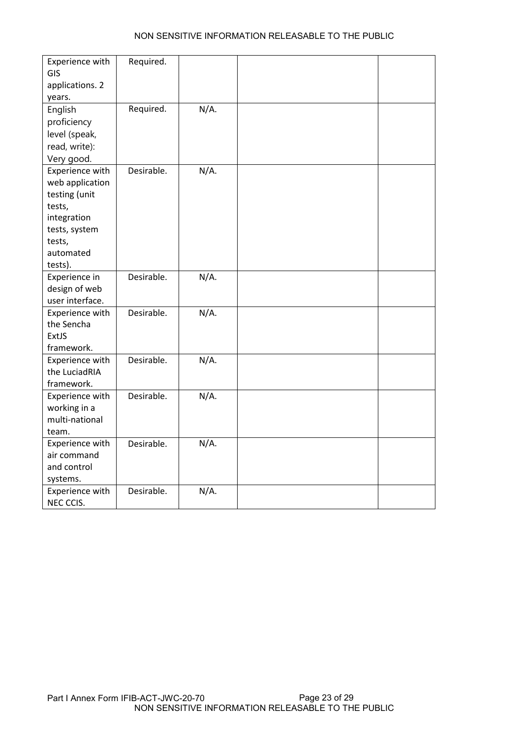| Experience with<br><b>GIS</b><br>applications. 2<br>years.                                                                      | Required.  |         |  |
|---------------------------------------------------------------------------------------------------------------------------------|------------|---------|--|
| English<br>proficiency<br>level (speak,<br>read, write):<br>Very good.                                                          | Required.  | $N/A$ . |  |
| Experience with<br>web application<br>testing (unit<br>tests,<br>integration<br>tests, system<br>tests,<br>automated<br>tests). | Desirable. | $N/A$ . |  |
| Experience in<br>design of web<br>user interface.                                                                               | Desirable. | $N/A$ . |  |
| Experience with<br>the Sencha<br>ExtJS<br>framework.                                                                            | Desirable. | $N/A$ . |  |
| Experience with<br>the LuciadRIA<br>framework.                                                                                  | Desirable. | $N/A$ . |  |
| Experience with<br>working in a<br>multi-national<br>team.                                                                      | Desirable. | $N/A$ . |  |
| Experience with<br>air command<br>and control<br>systems.                                                                       | Desirable. | $N/A$ . |  |
| Experience with<br>NEC CCIS.                                                                                                    | Desirable. | $N/A$ . |  |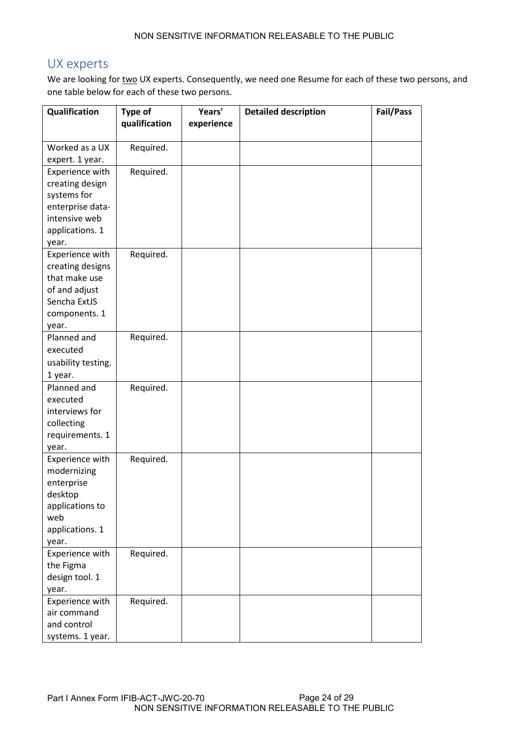# UX experts

We are looking for two UX experts. Consequently, we need one Resume for each of these two persons, and one table below for each of these two persons.

| Qualification         | Type of       | Years'     | <b>Detailed description</b> | Fail/Pass |
|-----------------------|---------------|------------|-----------------------------|-----------|
|                       | qualification | experience |                             |           |
| Worked as a UX        | Required.     |            |                             |           |
| expert. 1 year.       |               |            |                             |           |
| Experience with       | Required.     |            |                             |           |
| creating design       |               |            |                             |           |
| systems for           |               |            |                             |           |
| enterprise data-      |               |            |                             |           |
| intensive web         |               |            |                             |           |
| applications. 1       |               |            |                             |           |
| year.                 |               |            |                             |           |
| Experience with       | Required.     |            |                             |           |
| creating designs      |               |            |                             |           |
| that make use         |               |            |                             |           |
| of and adjust         |               |            |                             |           |
| Sencha ExtJS          |               |            |                             |           |
| components. 1         |               |            |                             |           |
| year.                 |               |            |                             |           |
| Planned and           | Required.     |            |                             |           |
| executed              |               |            |                             |           |
| usability testing.    |               |            |                             |           |
| 1 year.               |               |            |                             |           |
| Planned and           | Required.     |            |                             |           |
| executed              |               |            |                             |           |
| interviews for        |               |            |                             |           |
| collecting            |               |            |                             |           |
| requirements. 1       |               |            |                             |           |
| year.                 |               |            |                             |           |
| Experience with       | Required.     |            |                             |           |
| modernizing           |               |            |                             |           |
| enterprise<br>desktop |               |            |                             |           |
| applications to       |               |            |                             |           |
| web                   |               |            |                             |           |
| applications. 1       |               |            |                             |           |
| year.                 |               |            |                             |           |
| Experience with       | Required.     |            |                             |           |
| the Figma             |               |            |                             |           |
| design tool. 1        |               |            |                             |           |
| year.                 |               |            |                             |           |
| Experience with       | Required.     |            |                             |           |
| air command           |               |            |                             |           |
| and control           |               |            |                             |           |
| systems. 1 year.      |               |            |                             |           |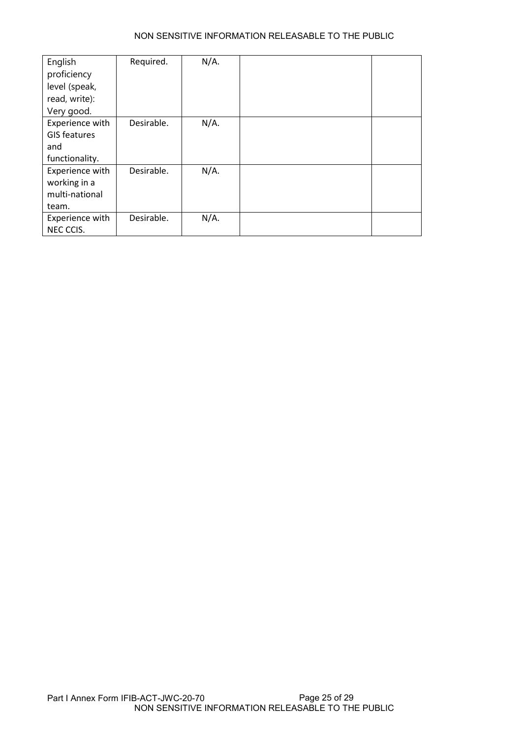| English             | Required.  | $N/A$ . |  |
|---------------------|------------|---------|--|
| proficiency         |            |         |  |
| level (speak,       |            |         |  |
| read, write):       |            |         |  |
| Very good.          |            |         |  |
| Experience with     | Desirable. | $N/A$ . |  |
| <b>GIS features</b> |            |         |  |
| and                 |            |         |  |
| functionality.      |            |         |  |
| Experience with     | Desirable. | $N/A$ . |  |
| working in a        |            |         |  |
| multi-national      |            |         |  |
| team.               |            |         |  |
| Experience with     | Desirable. | $N/A$ . |  |
| NEC CCIS.           |            |         |  |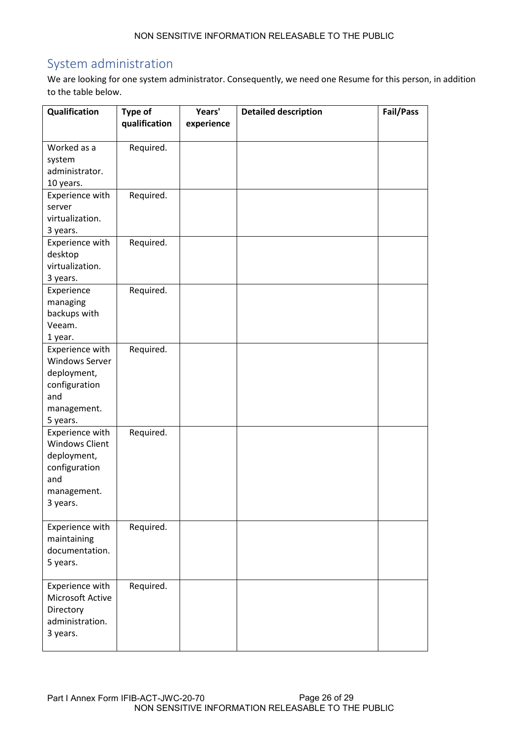# System administration

We are looking for one system administrator. Consequently, we need one Resume for this person, in addition to the table below.

| Qualification                            | Type of       | Years'     | <b>Detailed description</b> | Fail/Pass |
|------------------------------------------|---------------|------------|-----------------------------|-----------|
|                                          | qualification | experience |                             |           |
| Worked as a                              | Required.     |            |                             |           |
| system                                   |               |            |                             |           |
| administrator.                           |               |            |                             |           |
| 10 years.                                |               |            |                             |           |
| Experience with<br>server                | Required.     |            |                             |           |
| virtualization.                          |               |            |                             |           |
| 3 years.                                 |               |            |                             |           |
| Experience with                          | Required.     |            |                             |           |
| desktop                                  |               |            |                             |           |
| virtualization.                          |               |            |                             |           |
| 3 years.                                 |               |            |                             |           |
| Experience                               | Required.     |            |                             |           |
| managing                                 |               |            |                             |           |
| backups with                             |               |            |                             |           |
| Veeam.                                   |               |            |                             |           |
| 1 year.                                  |               |            |                             |           |
| Experience with<br><b>Windows Server</b> | Required.     |            |                             |           |
| deployment,                              |               |            |                             |           |
| configuration                            |               |            |                             |           |
| and                                      |               |            |                             |           |
| management.                              |               |            |                             |           |
| 5 years.                                 |               |            |                             |           |
| Experience with                          | Required.     |            |                             |           |
| <b>Windows Client</b>                    |               |            |                             |           |
| deployment,                              |               |            |                             |           |
| configuration                            |               |            |                             |           |
| and                                      |               |            |                             |           |
| management.                              |               |            |                             |           |
| 3 years.                                 |               |            |                             |           |
| Experience with                          | Required.     |            |                             |           |
| maintaining                              |               |            |                             |           |
| documentation.                           |               |            |                             |           |
| 5 years.                                 |               |            |                             |           |
| Experience with                          | Required.     |            |                             |           |
| Microsoft Active                         |               |            |                             |           |
| Directory                                |               |            |                             |           |
| administration.                          |               |            |                             |           |
| 3 years.                                 |               |            |                             |           |
|                                          |               |            |                             |           |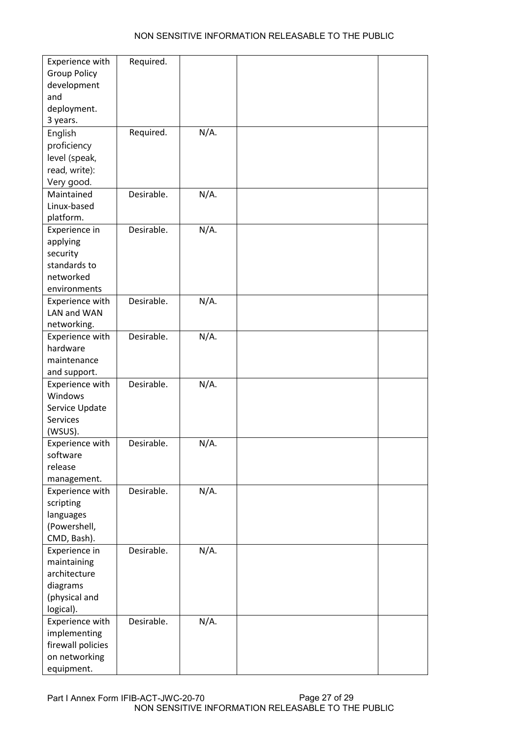| Experience with<br><b>Group Policy</b><br>development<br>and<br>deployment.            | Required.  |         |  |
|----------------------------------------------------------------------------------------|------------|---------|--|
| 3 years.<br>English<br>proficiency<br>level (speak,<br>read, write):<br>Very good.     | Required.  | N/A.    |  |
| Maintained<br>Linux-based<br>platform.                                                 | Desirable. | $N/A$ . |  |
| Experience in<br>applying<br>security<br>standards to<br>networked<br>environments     | Desirable. | $N/A$ . |  |
| Experience with<br>LAN and WAN<br>networking.                                          | Desirable. | N/A.    |  |
| Experience with<br>hardware<br>maintenance<br>and support.                             | Desirable. | $N/A$ . |  |
| Experience with<br>Windows<br>Service Update<br><b>Services</b><br>(WSUS).             | Desirable. | N/A.    |  |
| Experience with<br>software<br>release<br>management.                                  | Desirable. | N/A.    |  |
| Experience with<br>scripting<br>languages<br>(Powershell,<br>CMD, Bash).               | Desirable. | N/A.    |  |
| Experience in<br>maintaining<br>architecture<br>diagrams<br>(physical and<br>logical). | Desirable. | N/A.    |  |
| Experience with<br>implementing<br>firewall policies<br>on networking<br>equipment.    | Desirable. | N/A.    |  |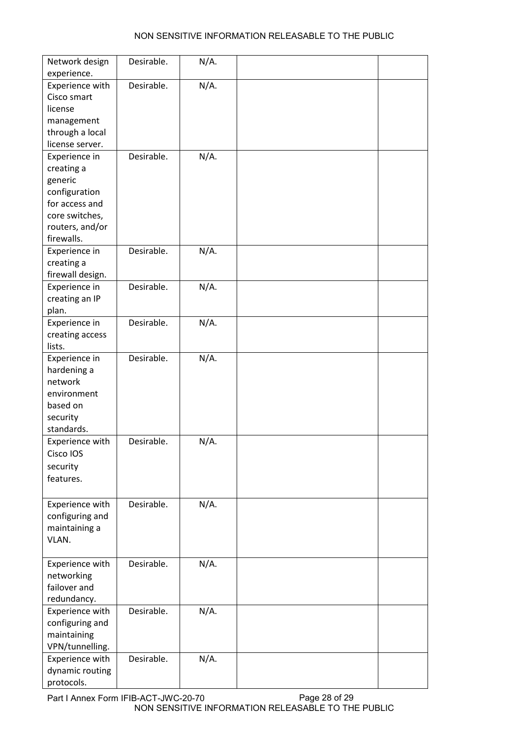| Network design                  | Desirable. | N/A.    |  |
|---------------------------------|------------|---------|--|
| experience.                     |            |         |  |
| Experience with                 | Desirable. | N/A.    |  |
| Cisco smart                     |            |         |  |
| license                         |            |         |  |
| management                      |            |         |  |
| through a local                 |            |         |  |
| license server.                 |            |         |  |
| Experience in                   | Desirable. | $N/A$ . |  |
| creating a                      |            |         |  |
| generic                         |            |         |  |
| configuration<br>for access and |            |         |  |
| core switches,                  |            |         |  |
| routers, and/or                 |            |         |  |
| firewalls.                      |            |         |  |
| Experience in                   | Desirable. | N/A.    |  |
| creating a                      |            |         |  |
| firewall design.                |            |         |  |
| Experience in                   | Desirable. | N/A.    |  |
| creating an IP                  |            |         |  |
| plan.                           |            |         |  |
| Experience in                   | Desirable. | N/A.    |  |
| creating access                 |            |         |  |
| lists.                          |            |         |  |
| Experience in                   | Desirable. | N/A.    |  |
| hardening a                     |            |         |  |
| network                         |            |         |  |
| environment                     |            |         |  |
| based on                        |            |         |  |
| security                        |            |         |  |
| standards.                      |            |         |  |
| Experience with                 | Desirable. | $N/A$ . |  |
| Cisco IOS                       |            |         |  |
| security                        |            |         |  |
| features.                       |            |         |  |
|                                 |            |         |  |
| Experience with                 | Desirable. | N/A.    |  |
| configuring and                 |            |         |  |
| maintaining a                   |            |         |  |
| VLAN.                           |            |         |  |
|                                 |            |         |  |
| Experience with                 | Desirable. | N/A.    |  |
| networking                      |            |         |  |
| failover and                    |            |         |  |
| redundancy.                     |            |         |  |
| Experience with                 | Desirable. | N/A.    |  |
| configuring and                 |            |         |  |
| maintaining                     |            |         |  |
| VPN/tunnelling.                 |            |         |  |
| Experience with                 | Desirable. | N/A.    |  |
| dynamic routing                 |            |         |  |
| protocols.                      |            |         |  |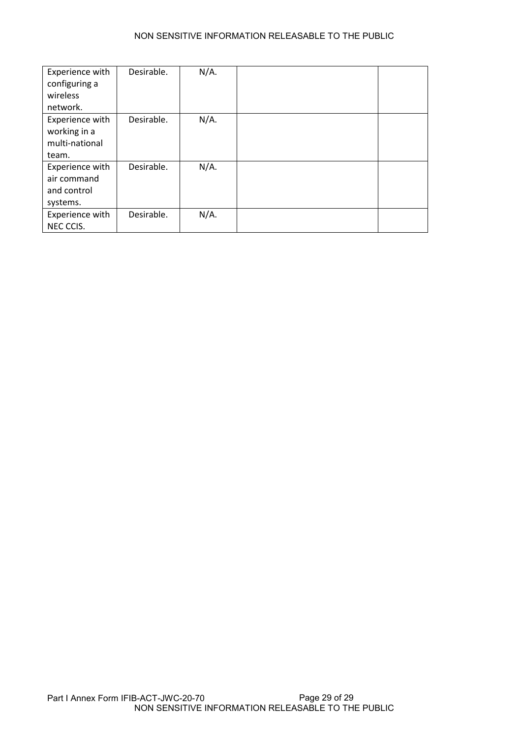| Experience with<br>configuring a<br>wireless<br>network.   | Desirable. | $N/A$ . |  |
|------------------------------------------------------------|------------|---------|--|
| Experience with<br>working in a<br>multi-national<br>team. | Desirable. | $N/A$ . |  |
| Experience with<br>air command<br>and control<br>systems.  | Desirable. | N/A.    |  |
| Experience with<br>NEC CCIS.                               | Desirable. | $N/A$ . |  |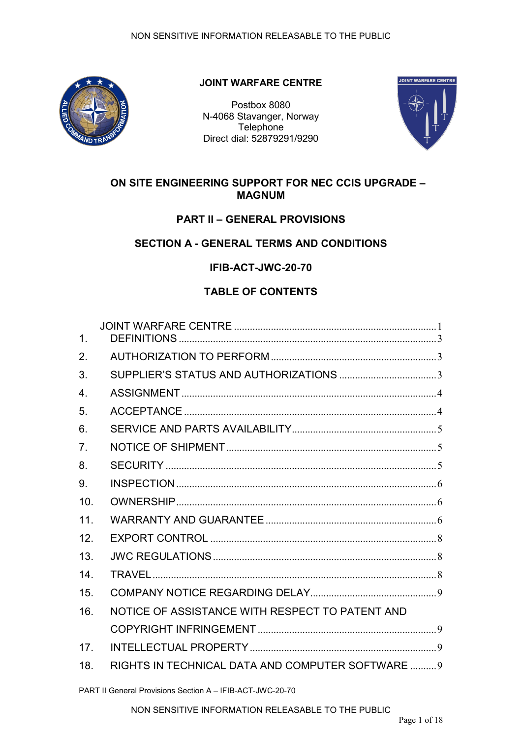<span id="page-31-0"></span>

## **JOINT WARFARE CENTRE**

Postbox 8080 N-4068 Stavanger, Norway **Telephone** Direct dial: 52879291/9290



## **ON SITE ENGINEERING SUPPORT FOR NEC CCIS UPGRADE – MAGNUM**

## **PART II – GENERAL PROVISIONS**

## **SECTION A - GENERAL TERMS AND CONDITIONS**

**IFIB-ACT-JWC-20-70**

## **TABLE OF CONTENTS**

| $\mathbf{1}$ .   |                                                   |  |
|------------------|---------------------------------------------------|--|
| 2.               |                                                   |  |
| 3.               |                                                   |  |
| $\overline{4}$ . |                                                   |  |
| 5.               |                                                   |  |
| 6.               |                                                   |  |
| 7 <sub>1</sub>   |                                                   |  |
| 8.               |                                                   |  |
| 9.               |                                                   |  |
| 10 <sub>1</sub>  |                                                   |  |
| 11               |                                                   |  |
| 12.              |                                                   |  |
| 13.              |                                                   |  |
| 14.              |                                                   |  |
| 15 <sub>1</sub>  |                                                   |  |
| 16.              | NOTICE OF ASSISTANCE WITH RESPECT TO PATENT AND   |  |
|                  |                                                   |  |
| 17.              |                                                   |  |
| 18.              | RIGHTS IN TECHNICAL DATA AND COMPUTER SOFTWARE  9 |  |
|                  |                                                   |  |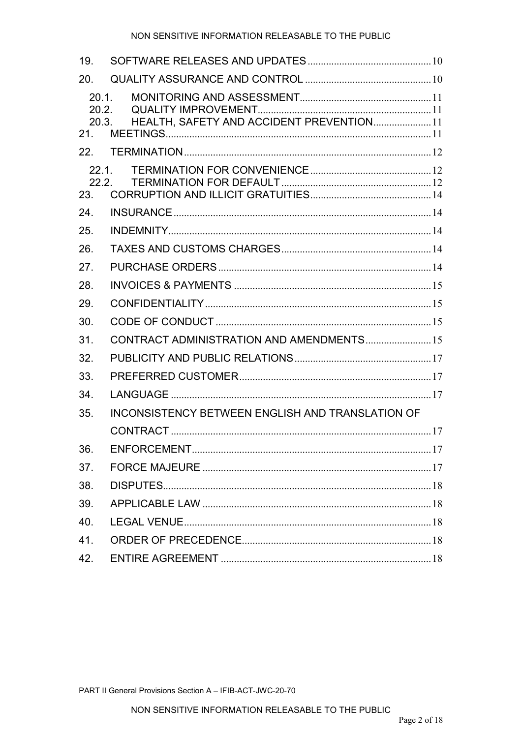| 19.                            |                                                         |  |
|--------------------------------|---------------------------------------------------------|--|
| 20.                            |                                                         |  |
| 20.1.<br>20.2.<br>20.3.<br>21. | HEALTH, SAFETY AND ACCIDENT PREVENTION 11               |  |
| 22.                            |                                                         |  |
| 22.1.<br>22.2.<br>23.          |                                                         |  |
| 24.                            |                                                         |  |
| 25.                            |                                                         |  |
| 26.                            |                                                         |  |
| 27.                            |                                                         |  |
| 28.                            |                                                         |  |
| 29.                            |                                                         |  |
| 30.                            |                                                         |  |
| 31.                            | CONTRACT ADMINISTRATION AND AMENDMENTS 15               |  |
| 32.                            |                                                         |  |
| 33.                            |                                                         |  |
| 34.                            |                                                         |  |
| 35.                            | <b>INCONSISTENCY BETWEEN ENGLISH AND TRANSLATION OF</b> |  |
|                                |                                                         |  |
| 36.                            |                                                         |  |
| 37.                            |                                                         |  |
| 38.                            |                                                         |  |
| 39.                            |                                                         |  |
| 40.                            |                                                         |  |
| 41.                            |                                                         |  |
| 42.                            |                                                         |  |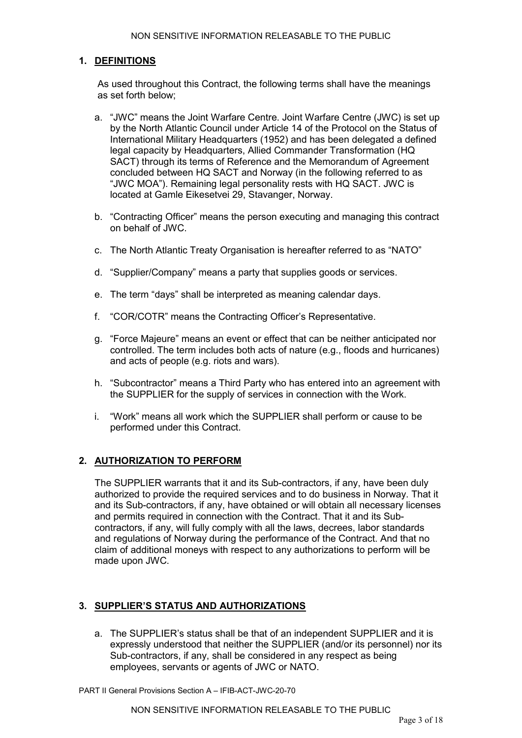#### <span id="page-33-0"></span>**1. DEFINITIONS**

As used throughout this Contract, the following terms shall have the meanings as set forth below;

- a. "JWC" means the Joint Warfare Centre. Joint Warfare Centre (JWC) is set up by the North Atlantic Council under Article 14 of the Protocol on the Status of International Military Headquarters (1952) and has been delegated a defined legal capacity by Headquarters, Allied Commander Transformation (HQ SACT) through its terms of Reference and the Memorandum of Agreement concluded between HQ SACT and Norway (in the following referred to as "JWC MOA"). Remaining legal personality rests with HQ SACT. JWC is located at Gamle Eikesetvei 29, Stavanger, Norway.
- b. "Contracting Officer" means the person executing and managing this contract on behalf of JWC.
- c. The North Atlantic Treaty Organisation is hereafter referred to as "NATO"
- d. "Supplier/Company" means a party that supplies goods or services.
- e. The term "days" shall be interpreted as meaning calendar days.
- f. "COR/COTR" means the Contracting Officer's Representative.
- g. "Force Majeure" means an event or effect that can be neither anticipated nor controlled. The term includes both acts of nature (e.g., floods and hurricanes) and acts of people (e.g. riots and wars).
- h. "Subcontractor" means a Third Party who has entered into an agreement with the SUPPLIER for the supply of services in connection with the Work.
- i. "Work" means all work which the SUPPLIER shall perform or cause to be performed under this Contract.

#### <span id="page-33-1"></span>**2. AUTHORIZATION TO PERFORM**

The SUPPLIER warrants that it and its Sub-contractors, if any, have been duly authorized to provide the required services and to do business in Norway. That it and its Sub-contractors, if any, have obtained or will obtain all necessary licenses and permits required in connection with the Contract. That it and its Subcontractors, if any, will fully comply with all the laws, decrees, labor standards and regulations of Norway during the performance of the Contract. And that no claim of additional moneys with respect to any authorizations to perform will be made upon JWC.

#### <span id="page-33-2"></span>**3. SUPPLIER'S STATUS AND AUTHORIZATIONS**

a. The SUPPLIER's status shall be that of an independent SUPPLIER and it is expressly understood that neither the SUPPLIER (and/or its personnel) nor its Sub-contractors, if any, shall be considered in any respect as being employees, servants or agents of JWC or NATO.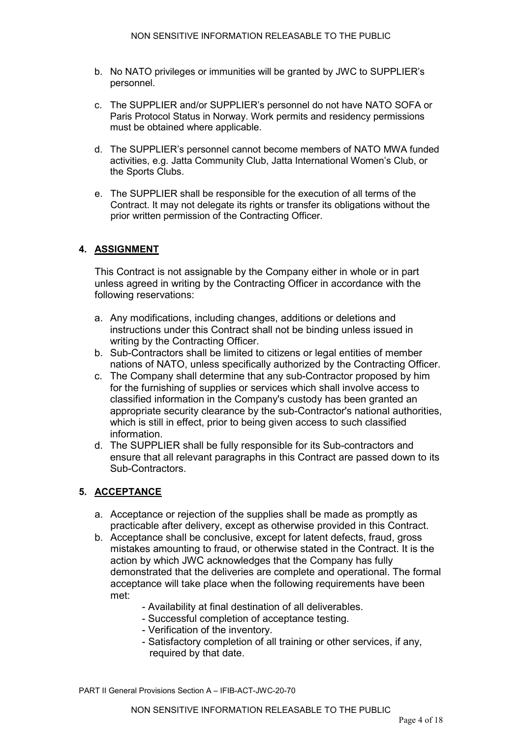- b. No NATO privileges or immunities will be granted by JWC to SUPPLIER's personnel.
- c. The SUPPLIER and/or SUPPLIER's personnel do not have NATO SOFA or Paris Protocol Status in Norway. Work permits and residency permissions must be obtained where applicable.
- d. The SUPPLIER's personnel cannot become members of NATO MWA funded activities, e.g. Jatta Community Club, Jatta International Women's Club, or the Sports Clubs.
- e. The SUPPLIER shall be responsible for the execution of all terms of the Contract. It may not delegate its rights or transfer its obligations without the prior written permission of the Contracting Officer.

## <span id="page-34-0"></span>**4. ASSIGNMENT**

This Contract is not assignable by the Company either in whole or in part unless agreed in writing by the Contracting Officer in accordance with the following reservations:

- a. Any modifications, including changes, additions or deletions and instructions under this Contract shall not be binding unless issued in writing by the Contracting Officer.
- b. Sub-Contractors shall be limited to citizens or legal entities of member nations of NATO, unless specifically authorized by the Contracting Officer.
- c. The Company shall determine that any sub-Contractor proposed by him for the furnishing of supplies or services which shall involve access to classified information in the Company's custody has been granted an appropriate security clearance by the sub-Contractor's national authorities, which is still in effect, prior to being given access to such classified information.
- d. The SUPPLIER shall be fully responsible for its Sub-contractors and ensure that all relevant paragraphs in this Contract are passed down to its Sub-Contractors.

## <span id="page-34-1"></span>**5. ACCEPTANCE**

- a. Acceptance or rejection of the supplies shall be made as promptly as practicable after delivery, except as otherwise provided in this Contract.
- b. Acceptance shall be conclusive, except for latent defects, fraud, gross mistakes amounting to fraud, or otherwise stated in the Contract. It is the action by which JWC acknowledges that the Company has fully demonstrated that the deliveries are complete and operational. The formal acceptance will take place when the following requirements have been met:
	- Availability at final destination of all deliverables.
	- Successful completion of acceptance testing.
	- Verification of the inventory.
	- Satisfactory completion of all training or other services, if any, required by that date.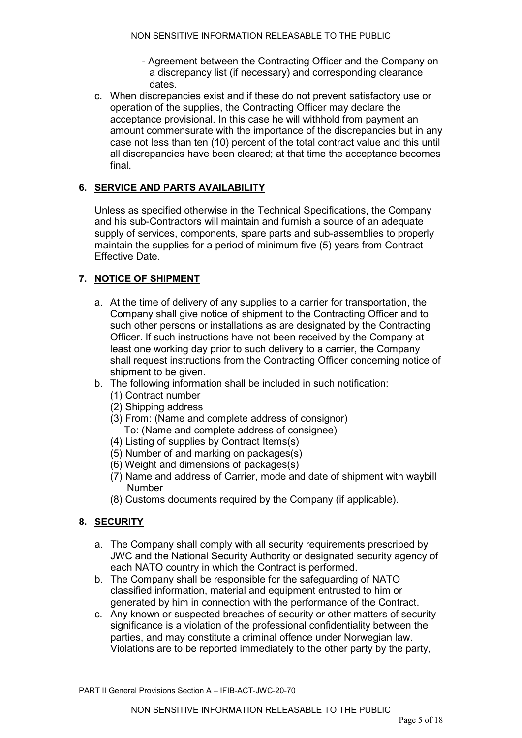- Agreement between the Contracting Officer and the Company on a discrepancy list (if necessary) and corresponding clearance dates.
- c. When discrepancies exist and if these do not prevent satisfactory use or operation of the supplies, the Contracting Officer may declare the acceptance provisional. In this case he will withhold from payment an amount commensurate with the importance of the discrepancies but in any case not less than ten (10) percent of the total contract value and this until all discrepancies have been cleared; at that time the acceptance becomes final.

## <span id="page-35-0"></span>**6. SERVICE AND PARTS AVAILABILITY**

Unless as specified otherwise in the Technical Specifications, the Company and his sub-Contractors will maintain and furnish a source of an adequate supply of services, components, spare parts and sub-assemblies to properly maintain the supplies for a period of minimum five (5) years from Contract Effective Date.

## <span id="page-35-1"></span>**7. NOTICE OF SHIPMENT**

- a. At the time of delivery of any supplies to a carrier for transportation, the Company shall give notice of shipment to the Contracting Officer and to such other persons or installations as are designated by the Contracting Officer. If such instructions have not been received by the Company at least one working day prior to such delivery to a carrier, the Company shall request instructions from the Contracting Officer concerning notice of shipment to be given.
- b. The following information shall be included in such notification:
	- (1) Contract number
		- (2) Shipping address
	- (3) From: (Name and complete address of consignor) To: (Name and complete address of consignee)
	- (4) Listing of supplies by Contract Items(s)
	- (5) Number of and marking on packages(s)
	- (6) Weight and dimensions of packages(s)
	- (7) Name and address of Carrier, mode and date of shipment with waybill Number
	- (8) Customs documents required by the Company (if applicable).

## <span id="page-35-2"></span>**8. SECURITY**

- a. The Company shall comply with all security requirements prescribed by JWC and the National Security Authority or designated security agency of each NATO country in which the Contract is performed.
- b. The Company shall be responsible for the safeguarding of NATO classified information, material and equipment entrusted to him or generated by him in connection with the performance of the Contract.
- c. Any known or suspected breaches of security or other matters of security significance is a violation of the professional confidentiality between the parties, and may constitute a criminal offence under Norwegian law. Violations are to be reported immediately to the other party by the party.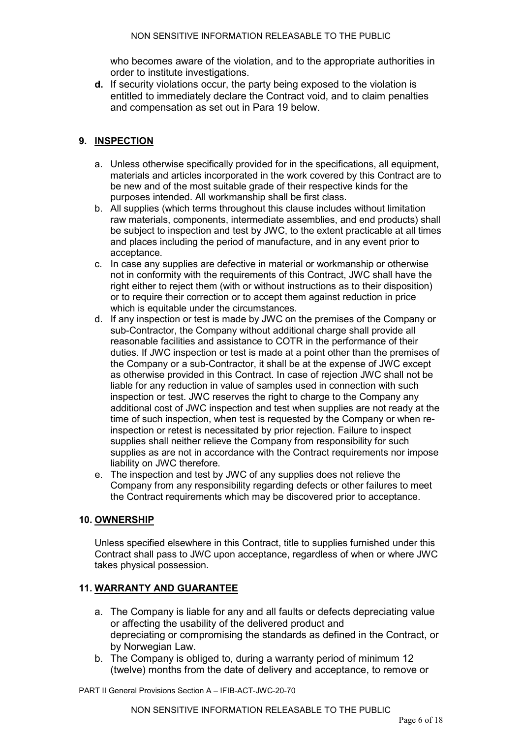who becomes aware of the violation, and to the appropriate authorities in order to institute investigations.

**d.** If security violations occur, the party being exposed to the violation is entitled to immediately declare the Contract void, and to claim penalties and compensation as set out in Para 19 below.

### <span id="page-36-0"></span>**9. INSPECTION**

- a. Unless otherwise specifically provided for in the specifications, all equipment, materials and articles incorporated in the work covered by this Contract are to be new and of the most suitable grade of their respective kinds for the purposes intended. All workmanship shall be first class.
- b. All supplies (which terms throughout this clause includes without limitation raw materials, components, intermediate assemblies, and end products) shall be subject to inspection and test by JWC, to the extent practicable at all times and places including the period of manufacture, and in any event prior to acceptance.
- c. In case any supplies are defective in material or workmanship or otherwise not in conformity with the requirements of this Contract, JWC shall have the right either to reject them (with or without instructions as to their disposition) or to require their correction or to accept them against reduction in price which is equitable under the circumstances.
- d. If any inspection or test is made by JWC on the premises of the Company or sub-Contractor, the Company without additional charge shall provide all reasonable facilities and assistance to COTR in the performance of their duties. If JWC inspection or test is made at a point other than the premises of the Company or a sub-Contractor, it shall be at the expense of JWC except as otherwise provided in this Contract. In case of rejection JWC shall not be liable for any reduction in value of samples used in connection with such inspection or test. JWC reserves the right to charge to the Company any additional cost of JWC inspection and test when supplies are not ready at the time of such inspection, when test is requested by the Company or when reinspection or retest is necessitated by prior rejection. Failure to inspect supplies shall neither relieve the Company from responsibility for such supplies as are not in accordance with the Contract requirements nor impose liability on JWC therefore.
- e. The inspection and test by JWC of any supplies does not relieve the Company from any responsibility regarding defects or other failures to meet the Contract requirements which may be discovered prior to acceptance.

#### <span id="page-36-1"></span>**10. OWNERSHIP**

Unless specified elsewhere in this Contract, title to supplies furnished under this Contract shall pass to JWC upon acceptance, regardless of when or where JWC takes physical possession.

## <span id="page-36-2"></span>**11. WARRANTY AND GUARANTEE**

- a. The Company is liable for any and all faults or defects depreciating value or affecting the usability of the delivered product and depreciating or compromising the standards as defined in the Contract, or by Norwegian Law.
- b. The Company is obliged to, during a warranty period of minimum 12 (twelve) months from the date of delivery and acceptance, to remove or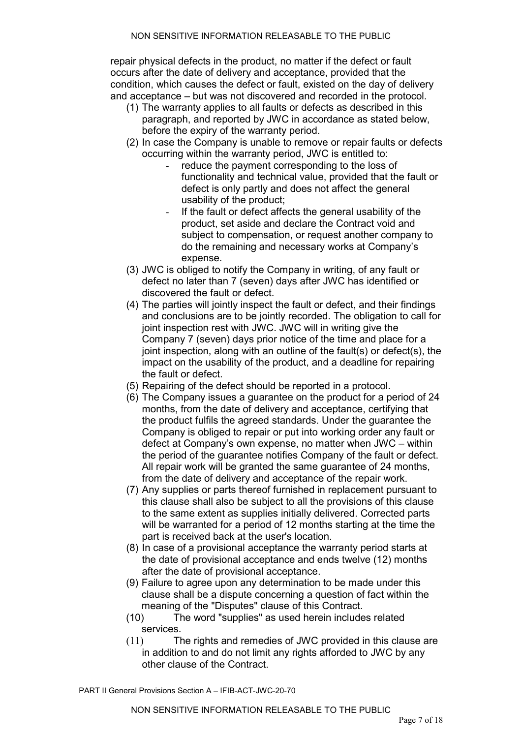repair physical defects in the product, no matter if the defect or fault occurs after the date of delivery and acceptance, provided that the condition, which causes the defect or fault, existed on the day of delivery and acceptance – but was not discovered and recorded in the protocol.

- (1) The warranty applies to all faults or defects as described in this paragraph, and reported by JWC in accordance as stated below, before the expiry of the warranty period.
- (2) In case the Company is unable to remove or repair faults or defects occurring within the warranty period, JWC is entitled to:
	- reduce the payment corresponding to the loss of functionality and technical value, provided that the fault or defect is only partly and does not affect the general usability of the product;
	- If the fault or defect affects the general usability of the product, set aside and declare the Contract void and subject to compensation, or request another company to do the remaining and necessary works at Company's expense.
- (3) JWC is obliged to notify the Company in writing, of any fault or defect no later than 7 (seven) days after JWC has identified or discovered the fault or defect.
- (4) The parties will jointly inspect the fault or defect, and their findings and conclusions are to be jointly recorded. The obligation to call for joint inspection rest with JWC. JWC will in writing give the Company 7 (seven) days prior notice of the time and place for a joint inspection, along with an outline of the fault(s) or defect(s), the impact on the usability of the product, and a deadline for repairing the fault or defect.
- (5) Repairing of the defect should be reported in a protocol.
- (6) The Company issues a guarantee on the product for a period of 24 months, from the date of delivery and acceptance, certifying that the product fulfils the agreed standards. Under the guarantee the Company is obliged to repair or put into working order any fault or defect at Company's own expense, no matter when JWC – within the period of the guarantee notifies Company of the fault or defect. All repair work will be granted the same guarantee of 24 months, from the date of delivery and acceptance of the repair work.
- (7) Any supplies or parts thereof furnished in replacement pursuant to this clause shall also be subject to all the provisions of this clause to the same extent as supplies initially delivered. Corrected parts will be warranted for a period of 12 months starting at the time the part is received back at the user's location.
- (8) In case of a provisional acceptance the warranty period starts at the date of provisional acceptance and ends twelve (12) months after the date of provisional acceptance.
- (9) Failure to agree upon any determination to be made under this clause shall be a dispute concerning a question of fact within the meaning of the "Disputes" clause of this Contract.
- (10) The word "supplies" as used herein includes related services.
- (11) The rights and remedies of JWC provided in this clause are in addition to and do not limit any rights afforded to JWC by any other clause of the Contract.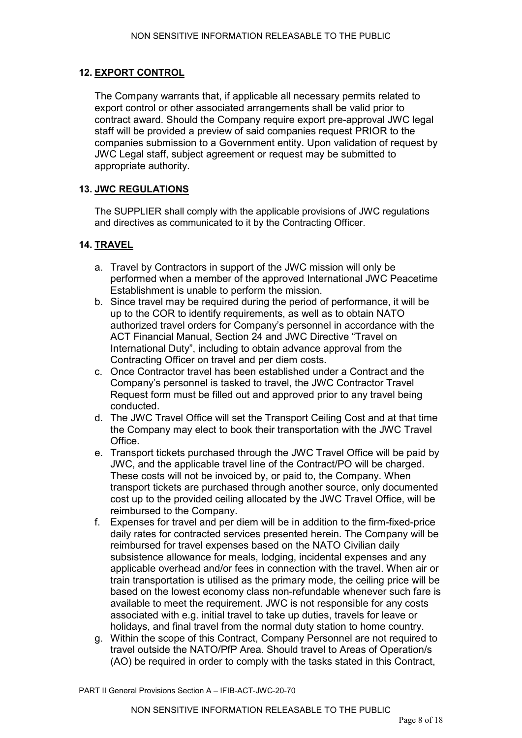#### <span id="page-38-0"></span>**12. EXPORT CONTROL**

The Company warrants that, if applicable all necessary permits related to export control or other associated arrangements shall be valid prior to contract award. Should the Company require export pre-approval JWC legal staff will be provided a preview of said companies request PRIOR to the companies submission to a Government entity. Upon validation of request by JWC Legal staff, subject agreement or request may be submitted to appropriate authority.

### <span id="page-38-1"></span>**13. JWC REGULATIONS**

The SUPPLIER shall comply with the applicable provisions of JWC regulations and directives as communicated to it by the Contracting Officer.

## <span id="page-38-2"></span>**14. TRAVEL**

- a. Travel by Contractors in support of the JWC mission will only be performed when a member of the approved International JWC Peacetime Establishment is unable to perform the mission.
- b. Since travel may be required during the period of performance, it will be up to the COR to identify requirements, as well as to obtain NATO authorized travel orders for Company's personnel in accordance with the ACT Financial Manual, Section 24 and JWC Directive "Travel on International Duty", including to obtain advance approval from the Contracting Officer on travel and per diem costs.
- c. Once Contractor travel has been established under a Contract and the Company's personnel is tasked to travel, the JWC Contractor Travel Request form must be filled out and approved prior to any travel being conducted.
- d. The JWC Travel Office will set the Transport Ceiling Cost and at that time the Company may elect to book their transportation with the JWC Travel Office.
- e. Transport tickets purchased through the JWC Travel Office will be paid by JWC, and the applicable travel line of the Contract/PO will be charged. These costs will not be invoiced by, or paid to, the Company. When transport tickets are purchased through another source, only documented cost up to the provided ceiling allocated by the JWC Travel Office, will be reimbursed to the Company.
- f. Expenses for travel and per diem will be in addition to the firm-fixed-price daily rates for contracted services presented herein. The Company will be reimbursed for travel expenses based on the NATO Civilian daily subsistence allowance for meals, lodging, incidental expenses and any applicable overhead and/or fees in connection with the travel. When air or train transportation is utilised as the primary mode, the ceiling price will be based on the lowest economy class non-refundable whenever such fare is available to meet the requirement. JWC is not responsible for any costs associated with e.g. initial travel to take up duties, travels for leave or holidays, and final travel from the normal duty station to home country.
- g. Within the scope of this Contract, Company Personnel are not required to travel outside the NATO/PfP Area. Should travel to Areas of Operation/s (AO) be required in order to comply with the tasks stated in this Contract,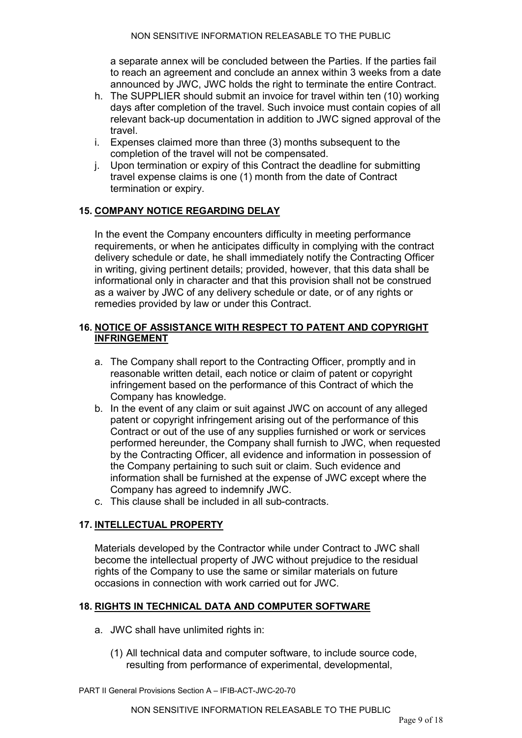a separate annex will be concluded between the Parties. If the parties fail to reach an agreement and conclude an annex within 3 weeks from a date announced by JWC, JWC holds the right to terminate the entire Contract.

- h. The SUPPLIER should submit an invoice for travel within ten (10) working days after completion of the travel. Such invoice must contain copies of all relevant back-up documentation in addition to JWC signed approval of the travel.
- i. Expenses claimed more than three (3) months subsequent to the completion of the travel will not be compensated.
- j. Upon termination or expiry of this Contract the deadline for submitting travel expense claims is one (1) month from the date of Contract termination or expiry.

### <span id="page-39-0"></span>**15. COMPANY NOTICE REGARDING DELAY**

In the event the Company encounters difficulty in meeting performance requirements, or when he anticipates difficulty in complying with the contract delivery schedule or date, he shall immediately notify the Contracting Officer in writing, giving pertinent details; provided, however, that this data shall be informational only in character and that this provision shall not be construed as a waiver by JWC of any delivery schedule or date, or of any rights or remedies provided by law or under this Contract.

#### <span id="page-39-1"></span>**16. NOTICE OF ASSISTANCE WITH RESPECT TO PATENT AND COPYRIGHT INFRINGEMENT**

- a. The Company shall report to the Contracting Officer, promptly and in reasonable written detail, each notice or claim of patent or copyright infringement based on the performance of this Contract of which the Company has knowledge.
- b. In the event of any claim or suit against JWC on account of any alleged patent or copyright infringement arising out of the performance of this Contract or out of the use of any supplies furnished or work or services performed hereunder, the Company shall furnish to JWC, when requested by the Contracting Officer, all evidence and information in possession of the Company pertaining to such suit or claim. Such evidence and information shall be furnished at the expense of JWC except where the Company has agreed to indemnify JWC.
- c. This clause shall be included in all sub-contracts.

#### <span id="page-39-2"></span>**17. INTELLECTUAL PROPERTY**

Materials developed by the Contractor while under Contract to JWC shall become the intellectual property of JWC without prejudice to the residual rights of the Company to use the same or similar materials on future occasions in connection with work carried out for JWC.

#### <span id="page-39-3"></span>**18. RIGHTS IN TECHNICAL DATA AND COMPUTER SOFTWARE**

- a. JWC shall have unlimited rights in:
	- (1) All technical data and computer software, to include source code, resulting from performance of experimental, developmental,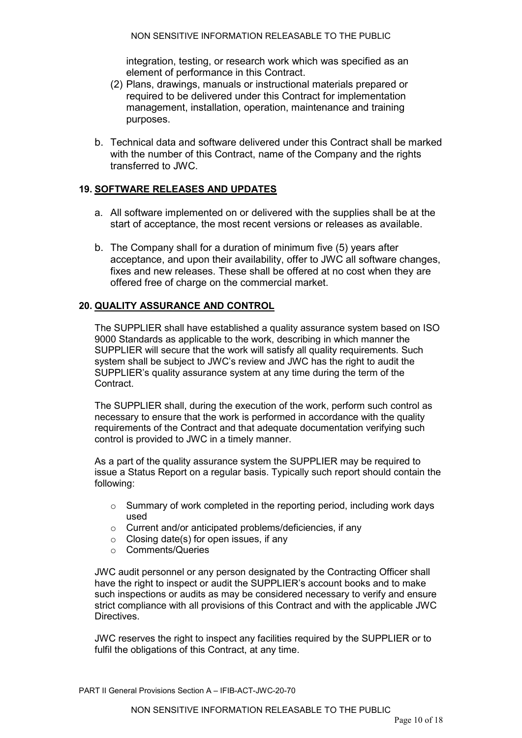integration, testing, or research work which was specified as an element of performance in this Contract.

- (2) Plans, drawings, manuals or instructional materials prepared or required to be delivered under this Contract for implementation management, installation, operation, maintenance and training purposes.
- b. Technical data and software delivered under this Contract shall be marked with the number of this Contract, name of the Company and the rights transferred to JWC.

#### <span id="page-40-0"></span>**19. SOFTWARE RELEASES AND UPDATES**

- a. All software implemented on or delivered with the supplies shall be at the start of acceptance, the most recent versions or releases as available.
- b. The Company shall for a duration of minimum five (5) years after acceptance, and upon their availability, offer to JWC all software changes, fixes and new releases. These shall be offered at no cost when they are offered free of charge on the commercial market.

### <span id="page-40-1"></span>**20. QUALITY ASSURANCE AND CONTROL**

The SUPPLIER shall have established a quality assurance system based on ISO 9000 Standards as applicable to the work, describing in which manner the SUPPLIER will secure that the work will satisfy all quality requirements. Such system shall be subject to JWC's review and JWC has the right to audit the SUPPLIER's quality assurance system at any time during the term of the Contract.

The SUPPLIER shall, during the execution of the work, perform such control as necessary to ensure that the work is performed in accordance with the quality requirements of the Contract and that adequate documentation verifying such control is provided to JWC in a timely manner.

As a part of the quality assurance system the SUPPLIER may be required to issue a Status Report on a regular basis. Typically such report should contain the following:

- o Summary of work completed in the reporting period, including work days used
- o Current and/or anticipated problems/deficiencies, if any
- $\circ$  Closing date(s) for open issues, if any
- o Comments/Queries

JWC audit personnel or any person designated by the Contracting Officer shall have the right to inspect or audit the SUPPLIER's account books and to make such inspections or audits as may be considered necessary to verify and ensure strict compliance with all provisions of this Contract and with the applicable JWC Directives.

JWC reserves the right to inspect any facilities required by the SUPPLIER or to fulfil the obligations of this Contract, at any time.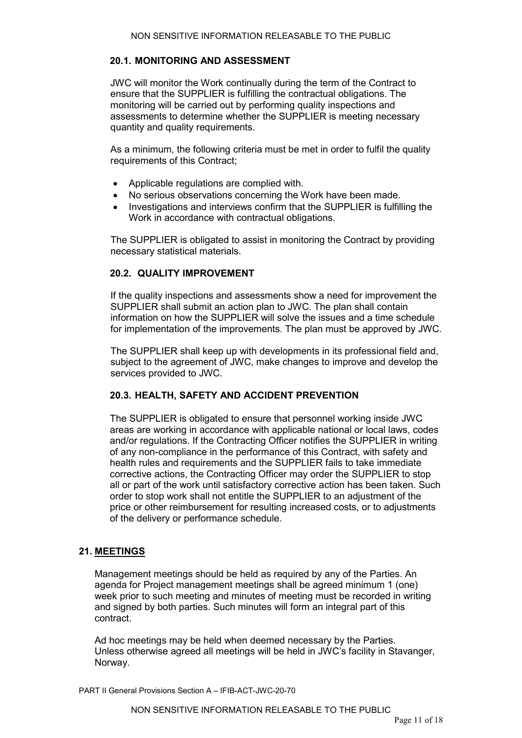#### <span id="page-41-0"></span>**20.1. MONITORING AND ASSESSMENT**

JWC will monitor the Work continually during the term of the Contract to ensure that the SUPPLIER is fulfilling the contractual obligations. The monitoring will be carried out by performing quality inspections and assessments to determine whether the SUPPLIER is meeting necessary quantity and quality requirements.

As a minimum, the following criteria must be met in order to fulfil the quality requirements of this Contract;

- Applicable regulations are complied with.
- No serious observations concerning the Work have been made.
- Investigations and interviews confirm that the SUPPLIER is fulfilling the Work in accordance with contractual obligations.

The SUPPLIER is obligated to assist in monitoring the Contract by providing necessary statistical materials.

#### <span id="page-41-1"></span>**20.2. QUALITY IMPROVEMENT**

If the quality inspections and assessments show a need for improvement the SUPPLIER shall submit an action plan to JWC. The plan shall contain information on how the SUPPLIER will solve the issues and a time schedule for implementation of the improvements. The plan must be approved by JWC.

The SUPPLIER shall keep up with developments in its professional field and, subject to the agreement of JWC, make changes to improve and develop the services provided to JWC.

#### <span id="page-41-2"></span>**20.3. HEALTH, SAFETY AND ACCIDENT PREVENTION**

The SUPPLIER is obligated to ensure that personnel working inside JWC areas are working in accordance with applicable national or local laws, codes and/or regulations. If the Contracting Officer notifies the SUPPLIER in writing of any non-compliance in the performance of this Contract, with safety and health rules and requirements and the SUPPLIER fails to take immediate corrective actions, the Contracting Officer may order the SUPPLIER to stop all or part of the work until satisfactory corrective action has been taken. Such order to stop work shall not entitle the SUPPLIER to an adjustment of the price or other reimbursement for resulting increased costs, or to adjustments of the delivery or performance schedule.

#### <span id="page-41-3"></span>**21. MEETINGS**

Management meetings should be held as required by any of the Parties. An agenda for Project management meetings shall be agreed minimum 1 (one) week prior to such meeting and minutes of meeting must be recorded in writing and signed by both parties. Such minutes will form an integral part of this contract.

Ad hoc meetings may be held when deemed necessary by the Parties. Unless otherwise agreed all meetings will be held in JWC's facility in Stavanger, Norway.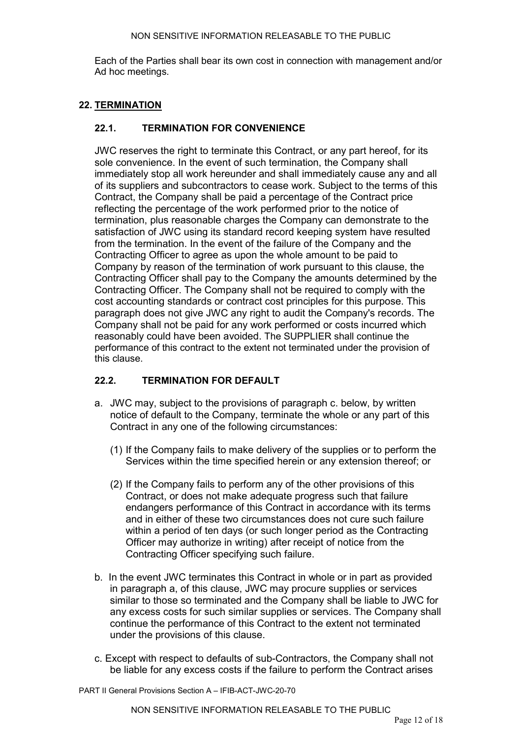Each of the Parties shall bear its own cost in connection with management and/or Ad hoc meetings.

#### <span id="page-42-0"></span>**22. TERMINATION**

### <span id="page-42-1"></span>**22.1. TERMINATION FOR CONVENIENCE**

JWC reserves the right to terminate this Contract, or any part hereof, for its sole convenience. In the event of such termination, the Company shall immediately stop all work hereunder and shall immediately cause any and all of its suppliers and subcontractors to cease work. Subject to the terms of this Contract, the Company shall be paid a percentage of the Contract price reflecting the percentage of the work performed prior to the notice of termination, plus reasonable charges the Company can demonstrate to the satisfaction of JWC using its standard record keeping system have resulted from the termination. In the event of the failure of the Company and the Contracting Officer to agree as upon the whole amount to be paid to Company by reason of the termination of work pursuant to this clause, the Contracting Officer shall pay to the Company the amounts determined by the Contracting Officer. The Company shall not be required to comply with the cost accounting standards or contract cost principles for this purpose. This paragraph does not give JWC any right to audit the Company's records. The Company shall not be paid for any work performed or costs incurred which reasonably could have been avoided. The SUPPLIER shall continue the performance of this contract to the extent not terminated under the provision of this clause.

#### <span id="page-42-2"></span>**22.2. TERMINATION FOR DEFAULT**

- a. JWC may, subject to the provisions of paragraph c. below, by written notice of default to the Company, terminate the whole or any part of this Contract in any one of the following circumstances:
	- (1) If the Company fails to make delivery of the supplies or to perform the Services within the time specified herein or any extension thereof; or
	- (2) If the Company fails to perform any of the other provisions of this Contract, or does not make adequate progress such that failure endangers performance of this Contract in accordance with its terms and in either of these two circumstances does not cure such failure within a period of ten days (or such longer period as the Contracting Officer may authorize in writing) after receipt of notice from the Contracting Officer specifying such failure.
- b. In the event JWC terminates this Contract in whole or in part as provided in paragraph a, of this clause, JWC may procure supplies or services similar to those so terminated and the Company shall be liable to JWC for any excess costs for such similar supplies or services. The Company shall continue the performance of this Contract to the extent not terminated under the provisions of this clause.
- c. Except with respect to defaults of sub-Contractors, the Company shall not be liable for any excess costs if the failure to perform the Contract arises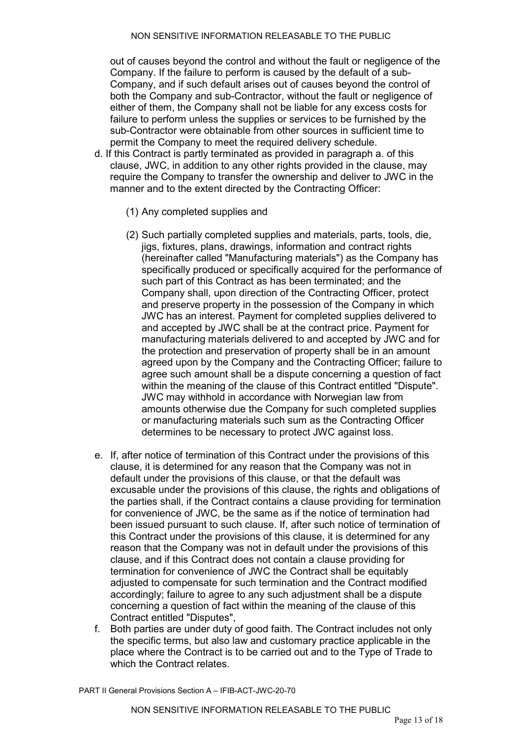out of causes beyond the control and without the fault or negligence of the Company. If the failure to perform is caused by the default of a sub-Company, and if such default arises out of causes beyond the control of both the Company and sub-Contractor, without the fault or negligence of either of them, the Company shall not be liable for any excess costs for failure to perform unless the supplies or services to be furnished by the sub-Contractor were obtainable from other sources in sufficient time to permit the Company to meet the required delivery schedule.

- d. If this Contract is partly terminated as provided in paragraph a. of this clause, JWC, in addition to any other rights provided in the clause, may require the Company to transfer the ownership and deliver to JWC in the manner and to the extent directed by the Contracting Officer:
	- (1) Any completed supplies and
	- (2) Such partially completed supplies and materials, parts, tools, die, jigs, fixtures, plans, drawings, information and contract rights (hereinafter called "Manufacturing materials") as the Company has specifically produced or specifically acquired for the performance of such part of this Contract as has been terminated; and the Company shall, upon direction of the Contracting Officer, protect and preserve property in the possession of the Company in which JWC has an interest. Payment for completed supplies delivered to and accepted by JWC shall be at the contract price. Payment for manufacturing materials delivered to and accepted by JWC and for the protection and preservation of property shall be in an amount agreed upon by the Company and the Contracting Officer; failure to agree such amount shall be a dispute concerning a question of fact within the meaning of the clause of this Contract entitled "Dispute". JWC may withhold in accordance with Norwegian law from amounts otherwise due the Company for such completed supplies or manufacturing materials such sum as the Contracting Officer determines to be necessary to protect JWC against loss.
- e. If, after notice of termination of this Contract under the provisions of this clause, it is determined for any reason that the Company was not in default under the provisions of this clause, or that the default was excusable under the provisions of this clause, the rights and obligations of the parties shall, if the Contract contains a clause providing for termination for convenience of JWC, be the same as if the notice of termination had been issued pursuant to such clause. If, after such notice of termination of this Contract under the provisions of this clause, it is determined for any reason that the Company was not in default under the provisions of this clause, and if this Contract does not contain a clause providing for termination for convenience of JWC the Contract shall be equitably adjusted to compensate for such termination and the Contract modified accordingly; failure to agree to any such adjustment shall be a dispute concerning a question of fact within the meaning of the clause of this Contract entitled "Disputes",
- f. Both parties are under duty of good faith. The Contract includes not only the specific terms, but also law and customary practice applicable in the place where the Contract is to be carried out and to the Type of Trade to which the Contract relates.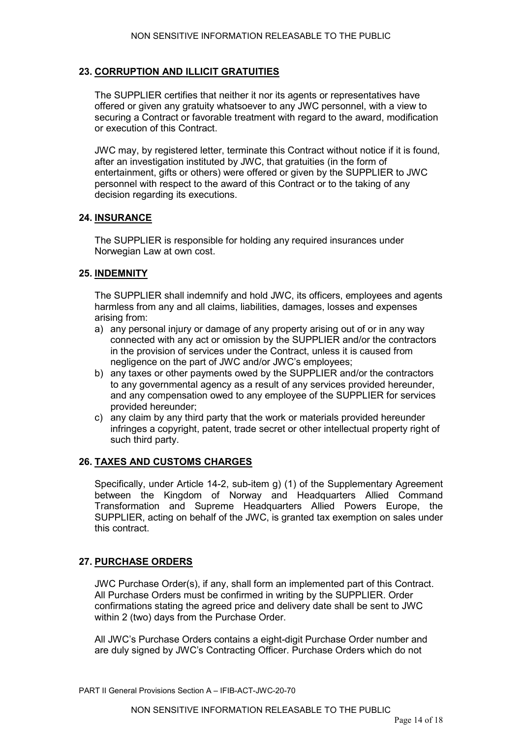### <span id="page-44-0"></span>**23. CORRUPTION AND ILLICIT GRATUITIES**

The SUPPLIER certifies that neither it nor its agents or representatives have offered or given any gratuity whatsoever to any JWC personnel, with a view to securing a Contract or favorable treatment with regard to the award, modification or execution of this Contract.

JWC may, by registered letter, terminate this Contract without notice if it is found, after an investigation instituted by JWC, that gratuities (in the form of entertainment, gifts or others) were offered or given by the SUPPLIER to JWC personnel with respect to the award of this Contract or to the taking of any decision regarding its executions.

#### <span id="page-44-1"></span>**24. INSURANCE**

The SUPPLIER is responsible for holding any required insurances under Norwegian Law at own cost.

#### <span id="page-44-2"></span>**25. INDEMNITY**

The SUPPLIER shall indemnify and hold JWC, its officers, employees and agents harmless from any and all claims, liabilities, damages, losses and expenses arising from:

- a) any personal injury or damage of any property arising out of or in any way connected with any act or omission by the SUPPLIER and/or the contractors in the provision of services under the Contract, unless it is caused from negligence on the part of JWC and/or JWC's employees;
- b) any taxes or other payments owed by the SUPPLIER and/or the contractors to any governmental agency as a result of any services provided hereunder, and any compensation owed to any employee of the SUPPLIER for services provided hereunder;
- c) any claim by any third party that the work or materials provided hereunder infringes a copyright, patent, trade secret or other intellectual property right of such third party.

#### <span id="page-44-3"></span>**26. TAXES AND CUSTOMS CHARGES**

Specifically, under Article 14-2, sub-item g) (1) of the Supplementary Agreement between the Kingdom of Norway and Headquarters Allied Command Transformation and Supreme Headquarters Allied Powers Europe, the SUPPLIER, acting on behalf of the JWC, is granted tax exemption on sales under this contract.

#### <span id="page-44-4"></span>**27. PURCHASE ORDERS**

JWC Purchase Order(s), if any, shall form an implemented part of this Contract. All Purchase Orders must be confirmed in writing by the SUPPLIER. Order confirmations stating the agreed price and delivery date shall be sent to JWC within 2 (two) days from the Purchase Order.

All JWC's Purchase Orders contains a eight-digit Purchase Order number and are duly signed by JWC's Contracting Officer. Purchase Orders which do not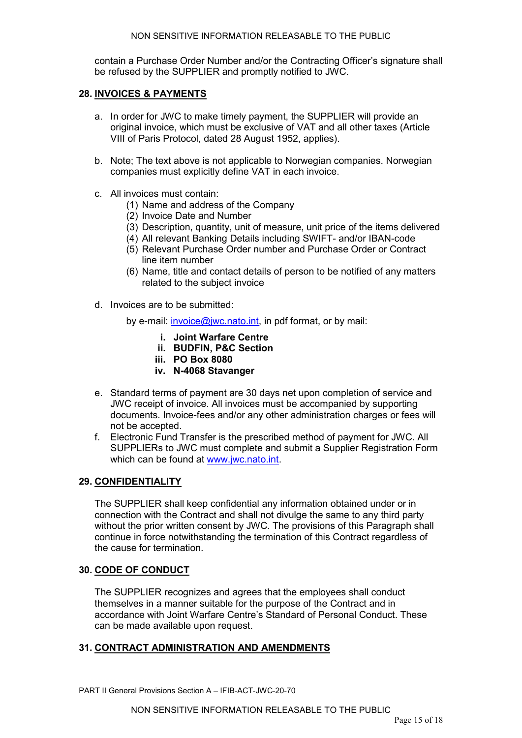contain a Purchase Order Number and/or the Contracting Officer's signature shall be refused by the SUPPLIER and promptly notified to JWC.

#### <span id="page-45-0"></span>**28. INVOICES & PAYMENTS**

- a. In order for JWC to make timely payment, the SUPPLIER will provide an original invoice, which must be exclusive of VAT and all other taxes (Article VIII of Paris Protocol, dated 28 August 1952, applies).
- b. Note; The text above is not applicable to Norwegian companies. Norwegian companies must explicitly define VAT in each invoice.
- c. All invoices must contain:
	- (1) Name and address of the Company
	- (2) Invoice Date and Number
	- (3) Description, quantity, unit of measure, unit price of the items delivered
	- (4) All relevant Banking Details including SWIFT- and/or IBAN-code
	- (5) Relevant Purchase Order number and Purchase Order or Contract line item number
	- (6) Name, title and contact details of person to be notified of any matters related to the subject invoice
- d. Invoices are to be submitted:
	- by e-mail: [invoice@jwc.nato.int,](mailto:invoice@jwc.nato.int) in pdf format, or by mail:
		- **i. Joint Warfare Centre**
		- **ii. BUDFIN, P&C Section**
		- **iii. PO Box 8080**
		- **iv. N-4068 Stavanger**
- e. Standard terms of payment are 30 days net upon completion of service and JWC receipt of invoice. All invoices must be accompanied by supporting documents. Invoice-fees and/or any other administration charges or fees will not be accepted.
- f. Electronic Fund Transfer is the prescribed method of payment for JWC. All SUPPLIERs to JWC must complete and submit a Supplier Registration Form which can be found at [www.jwc.nato.int.](http://www.jwc.nato.int/)

#### <span id="page-45-1"></span>**29. CONFIDENTIALITY**

The SUPPLIER shall keep confidential any information obtained under or in connection with the Contract and shall not divulge the same to any third party without the prior written consent by JWC. The provisions of this Paragraph shall continue in force notwithstanding the termination of this Contract regardless of the cause for termination.

#### <span id="page-45-2"></span>**30. CODE OF CONDUCT**

The SUPPLIER recognizes and agrees that the employees shall conduct themselves in a manner suitable for the purpose of the Contract and in accordance with Joint Warfare Centre's Standard of Personal Conduct. These can be made available upon request.

#### <span id="page-45-3"></span>**31. CONTRACT ADMINISTRATION AND AMENDMENTS**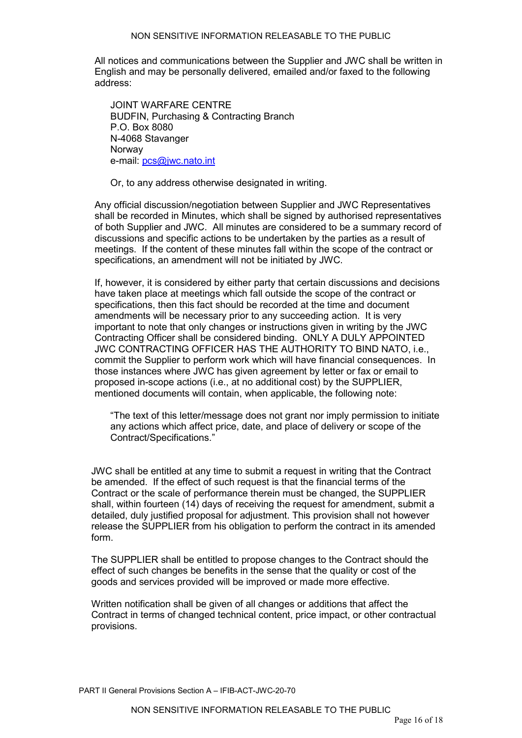All notices and communications between the Supplier and JWC shall be written in English and may be personally delivered, emailed and/or faxed to the following address:

JOINT WARFARE CENTRE BUDFIN, Purchasing & Contracting Branch P.O. Box 8080 N-4068 Stavanger Norway e-mail: [pcs@jwc.nato.int](mailto:pcs@jwc.nato.int)

Or, to any address otherwise designated in writing.

Any official discussion/negotiation between Supplier and JWC Representatives shall be recorded in Minutes, which shall be signed by authorised representatives of both Supplier and JWC. All minutes are considered to be a summary record of discussions and specific actions to be undertaken by the parties as a result of meetings. If the content of these minutes fall within the scope of the contract or specifications, an amendment will not be initiated by JWC.

If, however, it is considered by either party that certain discussions and decisions have taken place at meetings which fall outside the scope of the contract or specifications, then this fact should be recorded at the time and document amendments will be necessary prior to any succeeding action. It is very important to note that only changes or instructions given in writing by the JWC Contracting Officer shall be considered binding. ONLY A DULY APPOINTED JWC CONTRACTING OFFICER HAS THE AUTHORITY TO BIND NATO, i.e., commit the Supplier to perform work which will have financial consequences. In those instances where JWC has given agreement by letter or fax or email to proposed in-scope actions (i.e., at no additional cost) by the SUPPLIER, mentioned documents will contain, when applicable, the following note:

"The text of this letter/message does not grant nor imply permission to initiate any actions which affect price, date, and place of delivery or scope of the Contract/Specifications."

JWC shall be entitled at any time to submit a request in writing that the Contract be amended. If the effect of such request is that the financial terms of the Contract or the scale of performance therein must be changed, the SUPPLIER shall, within fourteen (14) days of receiving the request for amendment, submit a detailed, duly justified proposal for adjustment. This provision shall not however release the SUPPLIER from his obligation to perform the contract in its amended form.

The SUPPLIER shall be entitled to propose changes to the Contract should the effect of such changes be benefits in the sense that the quality or cost of the goods and services provided will be improved or made more effective.

Written notification shall be given of all changes or additions that affect the Contract in terms of changed technical content, price impact, or other contractual provisions.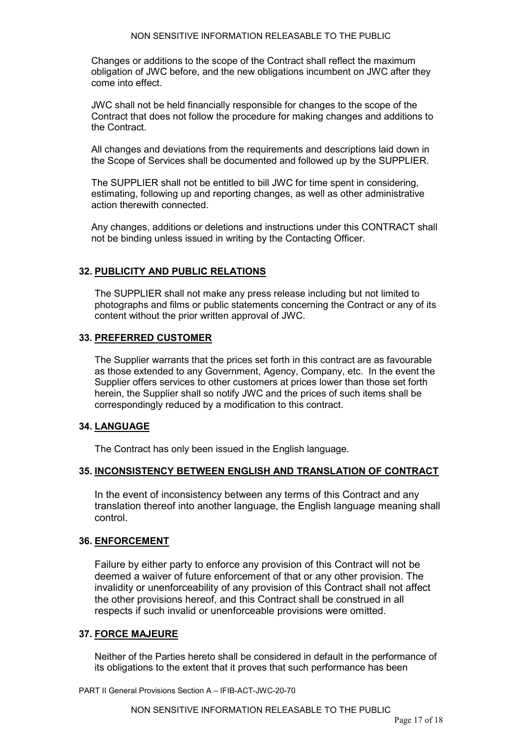Changes or additions to the scope of the Contract shall reflect the maximum obligation of JWC before, and the new obligations incumbent on JWC after they come into effect.

JWC shall not be held financially responsible for changes to the scope of the Contract that does not follow the procedure for making changes and additions to the Contract.

All changes and deviations from the requirements and descriptions laid down in the Scope of Services shall be documented and followed up by the SUPPLIER.

The SUPPLIER shall not be entitled to bill JWC for time spent in considering, estimating, following up and reporting changes, as well as other administrative action therewith connected.

Any changes, additions or deletions and instructions under this CONTRACT shall not be binding unless issued in writing by the Contacting Officer.

#### <span id="page-47-0"></span>**32. PUBLICITY AND PUBLIC RELATIONS**

The SUPPLIER shall not make any press release including but not limited to photographs and films or public statements concerning the Contract or any of its content without the prior written approval of JWC.

#### <span id="page-47-1"></span>**33. PREFERRED CUSTOMER**

The Supplier warrants that the prices set forth in this contract are as favourable as those extended to any Government, Agency, Company, etc. In the event the Supplier offers services to other customers at prices lower than those set forth herein, the Supplier shall so notify JWC and the prices of such items shall be correspondingly reduced by a modification to this contract.

#### <span id="page-47-2"></span>**34. LANGUAGE**

The Contract has only been issued in the English language.

#### <span id="page-47-3"></span>**35. INCONSISTENCY BETWEEN ENGLISH AND TRANSLATION OF CONTRACT**

In the event of inconsistency between any terms of this Contract and any translation thereof into another language, the English language meaning shall control.

#### <span id="page-47-4"></span>**36. ENFORCEMENT**

Failure by either party to enforce any provision of this Contract will not be deemed a waiver of future enforcement of that or any other provision. The invalidity or unenforceability of any provision of this Contract shall not affect the other provisions hereof, and this Contract shall be construed in all respects if such invalid or unenforceable provisions were omitted.

#### <span id="page-47-5"></span>**37. FORCE MAJEURE**

Neither of the Parties hereto shall be considered in default in the performance of its obligations to the extent that it proves that such performance has been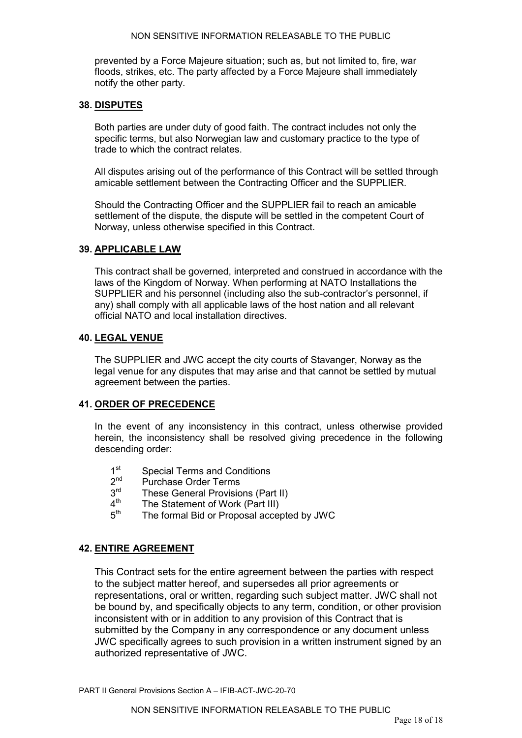prevented by a Force Majeure situation; such as, but not limited to, fire, war floods, strikes, etc. The party affected by a Force Majeure shall immediately notify the other party.

#### <span id="page-48-0"></span>**38. DISPUTES**

Both parties are under duty of good faith. The contract includes not only the specific terms, but also Norwegian law and customary practice to the type of trade to which the contract relates.

All disputes arising out of the performance of this Contract will be settled through amicable settlement between the Contracting Officer and the SUPPLIER.

Should the Contracting Officer and the SUPPLIER fail to reach an amicable settlement of the dispute, the dispute will be settled in the competent Court of Norway, unless otherwise specified in this Contract.

#### <span id="page-48-1"></span>**39. APPLICABLE LAW**

This contract shall be governed, interpreted and construed in accordance with the laws of the Kingdom of Norway. When performing at NATO Installations the SUPPLIER and his personnel (including also the sub-contractor's personnel, if any) shall comply with all applicable laws of the host nation and all relevant official NATO and local installation directives.

#### <span id="page-48-2"></span>**40. LEGAL VENUE**

The SUPPLIER and JWC accept the city courts of Stavanger, Norway as the legal venue for any disputes that may arise and that cannot be settled by mutual agreement between the parties.

#### <span id="page-48-3"></span>**41. ORDER OF PRECEDENCE**

In the event of any inconsistency in this contract, unless otherwise provided herein, the inconsistency shall be resolved giving precedence in the following descending order:

- $1<sup>st</sup>$  Special Terms and Conditions<br> $2<sup>nd</sup>$  Purchase Order Terms
- $2<sup>nd</sup>$  Purchase Order Terms<br> $3<sup>rd</sup>$  These General Provision
- $3<sup>rd</sup>$  These General Provisions (Part II)<br> $4<sup>th</sup>$  The Statement of Work (Part III)
- $4<sup>th</sup>$  The Statement of Work (Part III)<br> $5<sup>th</sup>$  The formal Bid or Proposal accel
- The formal Bid or Proposal accepted by JWC

#### <span id="page-48-4"></span>**42. ENTIRE AGREEMENT**

This Contract sets for the entire agreement between the parties with respect to the subject matter hereof, and supersedes all prior agreements or representations, oral or written, regarding such subject matter. JWC shall not be bound by, and specifically objects to any term, condition, or other provision inconsistent with or in addition to any provision of this Contract that is submitted by the Company in any correspondence or any document unless JWC specifically agrees to such provision in a written instrument signed by an authorized representative of JWC.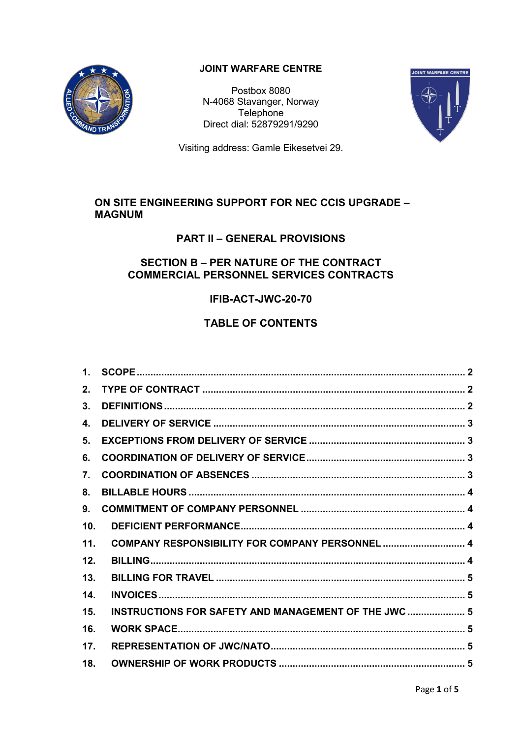

## **JOINT WARFARE CENTRE**

Postbox 8080 N-4068 Stavanger, Norway **Telephone** Direct dial: 52879291/9290



Visiting address: Gamle Eikesetvei 29.

## **ON SITE ENGINEERING SUPPORT FOR NEC CCIS UPGRADE – MAGNUM**

## **PART II – GENERAL PROVISIONS**

## **SECTION B – PER NATURE OF THE CONTRACT COMMERCIAL PERSONNEL SERVICES CONTRACTS**

## **IFIB-ACT-JWC-20-70**

# **TABLE OF CONTENTS**

| $1_{-}$ |                                                      |  |
|---------|------------------------------------------------------|--|
| $2_{-}$ |                                                      |  |
| 3.      |                                                      |  |
| 4.      |                                                      |  |
| 5.      |                                                      |  |
| 6.      |                                                      |  |
| 7.      |                                                      |  |
| 8.      |                                                      |  |
| 9.      |                                                      |  |
| 10.     |                                                      |  |
| 11.     | COMPANY RESPONSIBILITY FOR COMPANY PERSONNEL  4      |  |
| 12.     |                                                      |  |
| 13.     |                                                      |  |
| 14.     |                                                      |  |
| 15.     | INSTRUCTIONS FOR SAFETY AND MANAGEMENT OF THE JWC  5 |  |
| 16.     |                                                      |  |
| 17.     |                                                      |  |
| 18.     |                                                      |  |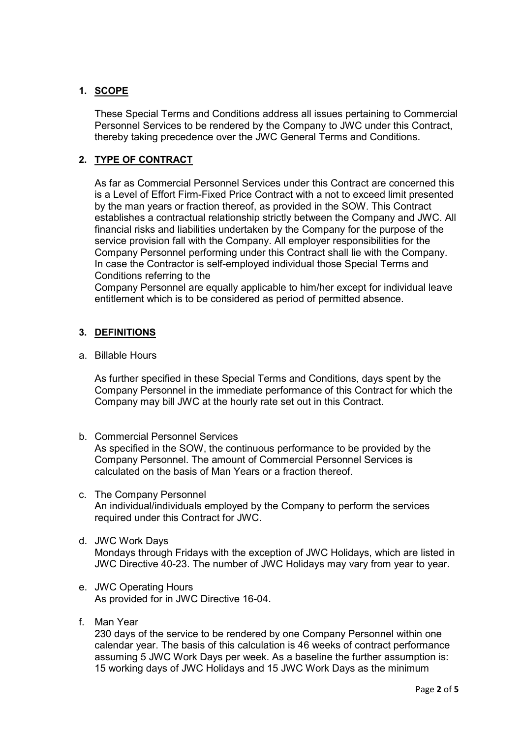## <span id="page-50-0"></span>**1. SCOPE**

These Special Terms and Conditions address all issues pertaining to Commercial Personnel Services to be rendered by the Company to JWC under this Contract, thereby taking precedence over the JWC General Terms and Conditions.

## <span id="page-50-1"></span>**2. TYPE OF CONTRACT**

As far as Commercial Personnel Services under this Contract are concerned this is a Level of Effort Firm-Fixed Price Contract with a not to exceed limit presented by the man years or fraction thereof, as provided in the SOW. This Contract establishes a contractual relationship strictly between the Company and JWC. All financial risks and liabilities undertaken by the Company for the purpose of the service provision fall with the Company. All employer responsibilities for the Company Personnel performing under this Contract shall lie with the Company. In case the Contractor is self-employed individual those Special Terms and Conditions referring to the

Company Personnel are equally applicable to him/her except for individual leave entitlement which is to be considered as period of permitted absence.

### <span id="page-50-2"></span>**3. DEFINITIONS**

a. Billable Hours

As further specified in these Special Terms and Conditions, days spent by the Company Personnel in the immediate performance of this Contract for which the Company may bill JWC at the hourly rate set out in this Contract.

- b. Commercial Personnel Services As specified in the SOW, the continuous performance to be provided by the Company Personnel. The amount of Commercial Personnel Services is calculated on the basis of Man Years or a fraction thereof.
- c. The Company Personnel An individual/individuals employed by the Company to perform the services required under this Contract for JWC.
- d. JWC Work Days Mondays through Fridays with the exception of JWC Holidays, which are listed in JWC Directive 40-23. The number of JWC Holidays may vary from year to year.
- e. JWC Operating Hours As provided for in JWC Directive 16-04.
- f. Man Year

230 days of the service to be rendered by one Company Personnel within one calendar year. The basis of this calculation is 46 weeks of contract performance assuming 5 JWC Work Days per week. As a baseline the further assumption is: 15 working days of JWC Holidays and 15 JWC Work Days as the minimum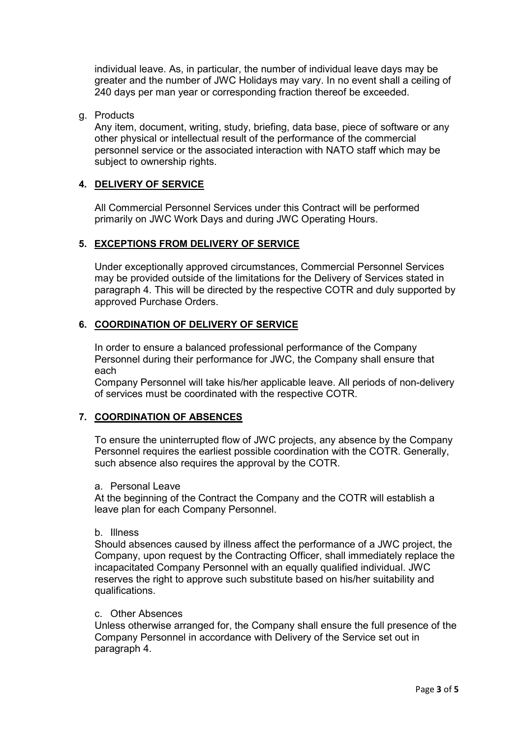individual leave. As, in particular, the number of individual leave days may be greater and the number of JWC Holidays may vary. In no event shall a ceiling of 240 days per man year or corresponding fraction thereof be exceeded.

#### g. Products

Any item, document, writing, study, briefing, data base, piece of software or any other physical or intellectual result of the performance of the commercial personnel service or the associated interaction with NATO staff which may be subject to ownership rights.

#### <span id="page-51-0"></span>**4. DELIVERY OF SERVICE**

All Commercial Personnel Services under this Contract will be performed primarily on JWC Work Days and during JWC Operating Hours.

#### <span id="page-51-1"></span>**5. EXCEPTIONS FROM DELIVERY OF SERVICE**

Under exceptionally approved circumstances, Commercial Personnel Services may be provided outside of the limitations for the Delivery of Services stated in paragraph 4. This will be directed by the respective COTR and duly supported by approved Purchase Orders.

#### <span id="page-51-2"></span>**6. COORDINATION OF DELIVERY OF SERVICE**

In order to ensure a balanced professional performance of the Company Personnel during their performance for JWC, the Company shall ensure that each

Company Personnel will take his/her applicable leave. All periods of non-delivery of services must be coordinated with the respective COTR.

#### <span id="page-51-3"></span>**7. COORDINATION OF ABSENCES**

To ensure the uninterrupted flow of JWC projects, any absence by the Company Personnel requires the earliest possible coordination with the COTR. Generally, such absence also requires the approval by the COTR.

#### a. Personal Leave

At the beginning of the Contract the Company and the COTR will establish a leave plan for each Company Personnel.

#### b. Illness

Should absences caused by illness affect the performance of a JWC project, the Company, upon request by the Contracting Officer, shall immediately replace the incapacitated Company Personnel with an equally qualified individual. JWC reserves the right to approve such substitute based on his/her suitability and qualifications.

#### c. Other Absences

Unless otherwise arranged for, the Company shall ensure the full presence of the Company Personnel in accordance with Delivery of the Service set out in paragraph 4.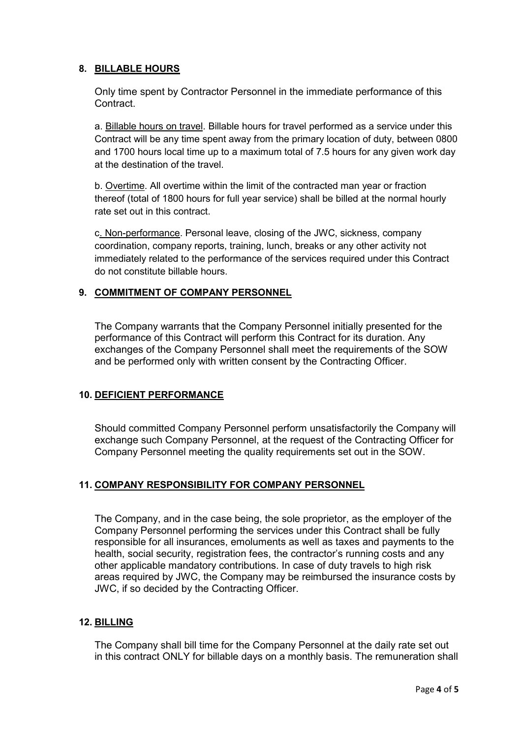### <span id="page-52-0"></span>**8. BILLABLE HOURS**

Only time spent by Contractor Personnel in the immediate performance of this Contract.

a. Billable hours on travel. Billable hours for travel performed as a service under this Contract will be any time spent away from the primary location of duty, between 0800 and 1700 hours local time up to a maximum total of 7.5 hours for any given work day at the destination of the travel.

b. Overtime. All overtime within the limit of the contracted man year or fraction thereof (total of 1800 hours for full year service) shall be billed at the normal hourly rate set out in this contract.

c. Non-performance. Personal leave, closing of the JWC, sickness, company coordination, company reports, training, lunch, breaks or any other activity not immediately related to the performance of the services required under this Contract do not constitute billable hours.

#### <span id="page-52-1"></span>**9. COMMITMENT OF COMPANY PERSONNEL**

The Company warrants that the Company Personnel initially presented for the performance of this Contract will perform this Contract for its duration. Any exchanges of the Company Personnel shall meet the requirements of the SOW and be performed only with written consent by the Contracting Officer.

#### <span id="page-52-2"></span>**10. DEFICIENT PERFORMANCE**

Should committed Company Personnel perform unsatisfactorily the Company will exchange such Company Personnel, at the request of the Contracting Officer for Company Personnel meeting the quality requirements set out in the SOW.

#### <span id="page-52-3"></span>**11. COMPANY RESPONSIBILITY FOR COMPANY PERSONNEL**

The Company, and in the case being, the sole proprietor, as the employer of the Company Personnel performing the services under this Contract shall be fully responsible for all insurances, emoluments as well as taxes and payments to the health, social security, registration fees, the contractor's running costs and any other applicable mandatory contributions. In case of duty travels to high risk areas required by JWC, the Company may be reimbursed the insurance costs by JWC, if so decided by the Contracting Officer.

#### <span id="page-52-4"></span>**12. BILLING**

The Company shall bill time for the Company Personnel at the daily rate set out in this contract ONLY for billable days on a monthly basis. The remuneration shall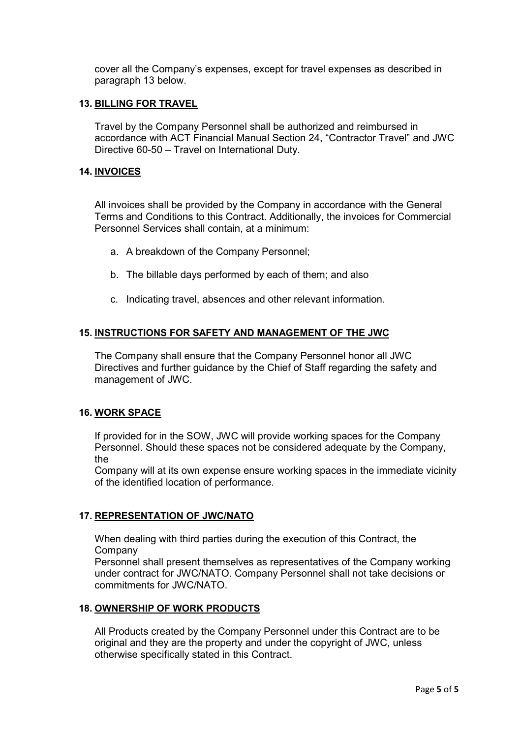cover all the Company's expenses, except for travel expenses as described in paragraph 13 below.

#### <span id="page-53-0"></span>**13. BILLING FOR TRAVEL**

Travel by the Company Personnel shall be authorized and reimbursed in accordance with ACT Financial Manual Section 24, "Contractor Travel" and JWC Directive 60-50 – Travel on International Duty.

#### <span id="page-53-1"></span>**14. INVOICES**

All invoices shall be provided by the Company in accordance with the General Terms and Conditions to this Contract. Additionally, the invoices for Commercial Personnel Services shall contain, at a minimum:

- a. A breakdown of the Company Personnel;
- b. The billable days performed by each of them; and also
- c. Indicating travel, absences and other relevant information.

#### <span id="page-53-2"></span>**15. INSTRUCTIONS FOR SAFETY AND MANAGEMENT OF THE JWC**

The Company shall ensure that the Company Personnel honor all JWC Directives and further guidance by the Chief of Staff regarding the safety and management of JWC.

#### <span id="page-53-3"></span>**16. WORK SPACE**

If provided for in the SOW, JWC will provide working spaces for the Company Personnel. Should these spaces not be considered adequate by the Company, the

Company will at its own expense ensure working spaces in the immediate vicinity of the identified location of performance.

#### <span id="page-53-4"></span>**17. REPRESENTATION OF JWC/NATO**

When dealing with third parties during the execution of this Contract, the Company

Personnel shall present themselves as representatives of the Company working under contract for JWC/NATO. Company Personnel shall not take decisions or commitments for JWC/NATO.

#### <span id="page-53-5"></span>**18. OWNERSHIP OF WORK PRODUCTS**

All Products created by the Company Personnel under this Contract are to be original and they are the property and under the copyright of JWC, unless otherwise specifically stated in this Contract.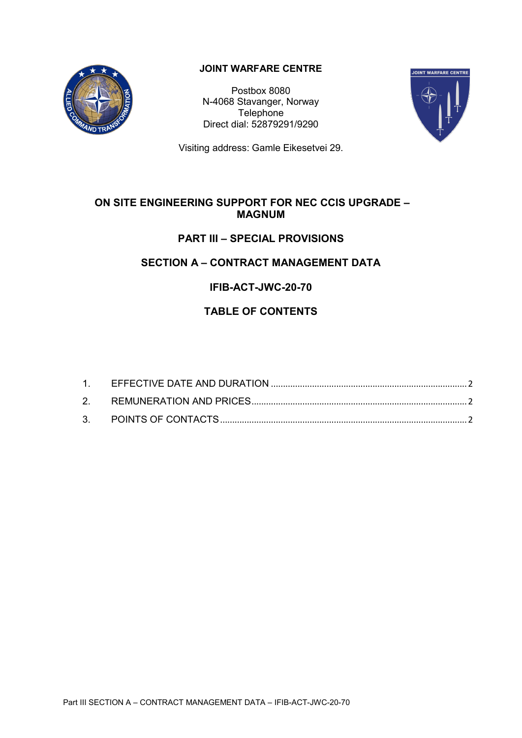

## **JOINT WARFARE CENTRE**

Postbox 8080 N-4068 Stavanger, Norway **Telephone** Direct dial: 52879291/9290



Visiting address: Gamle Eikesetvei 29.

## **ON SITE ENGINEERING SUPPORT FOR NEC CCIS UPGRADE – MAGNUM**

# **PART III – SPECIAL PROVISIONS**

# **SECTION A – CONTRACT MANAGEMENT DATA**

# **IFIB-ACT-JWC-20-70**

# **TABLE OF CONTENTS**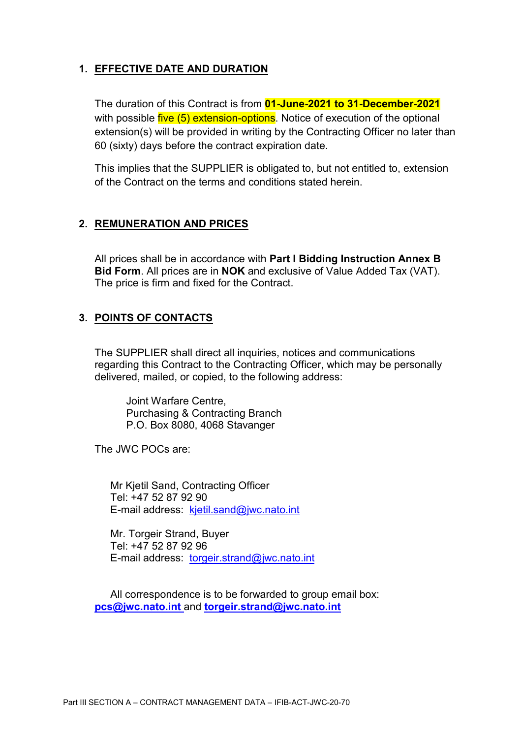# <span id="page-55-0"></span>**1. EFFECTIVE DATE AND DURATION**

The duration of this Contract is from **01-June-2021 to 31-December-2021** with possible five (5) extension-options. Notice of execution of the optional extension(s) will be provided in writing by the Contracting Officer no later than 60 (sixty) days before the contract expiration date.

This implies that the SUPPLIER is obligated to, but not entitled to, extension of the Contract on the terms and conditions stated herein.

## <span id="page-55-1"></span>**2. REMUNERATION AND PRICES**

All prices shall be in accordance with **Part I Bidding Instruction Annex B Bid Form**. All prices are in **NOK** and exclusive of Value Added Tax (VAT). The price is firm and fixed for the Contract.

## <span id="page-55-2"></span>**3. POINTS OF CONTACTS**

The SUPPLIER shall direct all inquiries, notices and communications regarding this Contract to the Contracting Officer, which may be personally delivered, mailed, or copied, to the following address:

Joint Warfare Centre, Purchasing & Contracting Branch P.O. Box 8080, 4068 Stavanger

The JWC POCs are:

Mr Kjetil Sand, Contracting Officer Tel: +47 52 87 92 90 E-mail address: kjetil.sand@jwc.nato.int

Mr. Torgeir Strand, Buyer Tel: +47 52 87 92 96 E-mail address: [torgeir.strand@jwc.nato.int](mailto:torgeir.strand@jwc.nato.int)

All correspondence is to be forwarded to group email box: **[pcs@jwc.nato.int](mailto:pcs@jwc.nato.int)** and **[torgeir.strand@jwc.nato.int](mailto:torgeir.strand@jwc.nato.int)**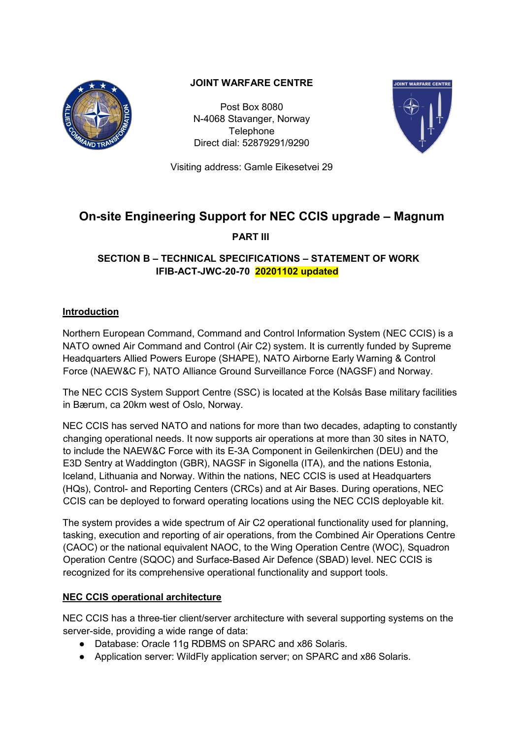

## **JOINT WARFARE CENTRE**

Post Box 8080 N-4068 Stavanger, Norway **Telephone** Direct dial: 52879291/9290



Visiting address: Gamle Eikesetvei 29

# **On-site Engineering Support for NEC CCIS upgrade – Magnum**

**PART III**

## **SECTION B – TECHNICAL SPECIFICATIONS – STATEMENT OF WORK IFIB-ACT-JWC-20-70 20201102 updated**

## **Introduction**

Northern European Command, Command and Control Information System (NEC CCIS) is a NATO owned Air Command and Control (Air C2) system. It is currently funded by Supreme Headquarters Allied Powers Europe (SHAPE), NATO Airborne Early Warning & Control Force (NAEW&C F), NATO Alliance Ground Surveillance Force (NAGSF) and Norway.

The NEC CCIS System Support Centre (SSC) is located at the Kolsås Base military facilities in Bærum, ca 20km west of Oslo, Norway.

NEC CCIS has served NATO and nations for more than two decades, adapting to constantly changing operational needs. It now supports air operations at more than 30 sites in NATO, to include the NAEW&C Force with its E-3A Component in Geilenkirchen (DEU) and the E3D Sentry at Waddington (GBR), NAGSF in Sigonella (ITA), and the nations Estonia, Iceland, Lithuania and Norway. Within the nations, NEC CCIS is used at Headquarters (HQs), Control- and Reporting Centers (CRCs) and at Air Bases. During operations, NEC CCIS can be deployed to forward operating locations using the NEC CCIS deployable kit.

The system provides a wide spectrum of Air C2 operational functionality used for planning, tasking, execution and reporting of air operations, from the Combined Air Operations Centre (CAOC) or the national equivalent NAOC, to the Wing Operation Centre (WOC), Squadron Operation Centre (SQOC) and Surface-Based Air Defence (SBAD) level. NEC CCIS is recognized for its comprehensive operational functionality and support tools.

## **NEC CCIS operational architecture**

NEC CCIS has a three-tier client/server architecture with several supporting systems on the server-side, providing a wide range of data:

- Database: Oracle 11g RDBMS on SPARC and x86 Solaris.
- Application server: WildFly application server; on SPARC and x86 Solaris.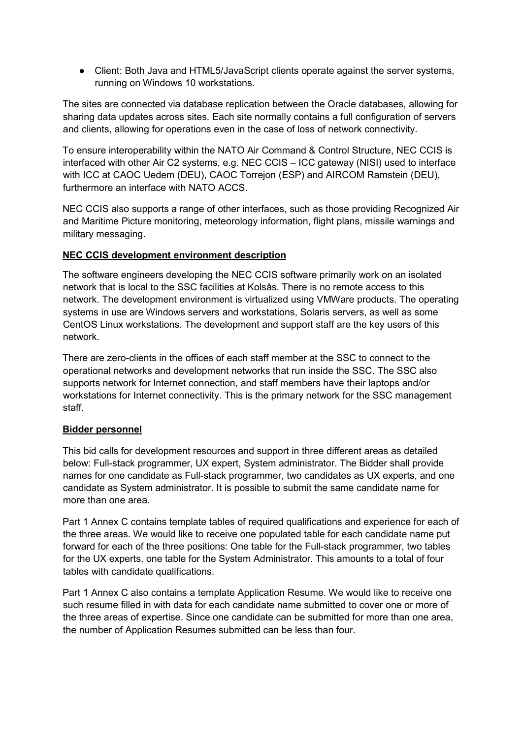● Client: Both Java and HTML5/JavaScript clients operate against the server systems, running on Windows 10 workstations.

The sites are connected via database replication between the Oracle databases, allowing for sharing data updates across sites. Each site normally contains a full configuration of servers and clients, allowing for operations even in the case of loss of network connectivity.

To ensure interoperability within the NATO Air Command & Control Structure, NEC CCIS is interfaced with other Air C2 systems, e.g. NEC CCIS – ICC gateway (NISI) used to interface with ICC at CAOC Uedem (DEU), CAOC Torrejon (ESP) and AIRCOM Ramstein (DEU), furthermore an interface with NATO ACCS.

NEC CCIS also supports a range of other interfaces, such as those providing Recognized Air and Maritime Picture monitoring, meteorology information, flight plans, missile warnings and military messaging.

### **NEC CCIS development environment description**

The software engineers developing the NEC CCIS software primarily work on an isolated network that is local to the SSC facilities at Kolsås. There is no remote access to this network. The development environment is virtualized using VMWare products. The operating systems in use are Windows servers and workstations, Solaris servers, as well as some CentOS Linux workstations. The development and support staff are the key users of this network.

There are zero-clients in the offices of each staff member at the SSC to connect to the operational networks and development networks that run inside the SSC. The SSC also supports network for Internet connection, and staff members have their laptops and/or workstations for Internet connectivity. This is the primary network for the SSC management staff.

#### **Bidder personnel**

This bid calls for development resources and support in three different areas as detailed below: Full-stack programmer, UX expert, System administrator. The Bidder shall provide names for one candidate as Full-stack programmer, two candidates as UX experts, and one candidate as System administrator. It is possible to submit the same candidate name for more than one area.

Part 1 Annex C contains template tables of required qualifications and experience for each of the three areas. We would like to receive one populated table for each candidate name put forward for each of the three positions: One table for the Full-stack programmer, two tables for the UX experts, one table for the System Administrator. This amounts to a total of four tables with candidate qualifications.

Part 1 Annex C also contains a template Application Resume. We would like to receive one such resume filled in with data for each candidate name submitted to cover one or more of the three areas of expertise. Since one candidate can be submitted for more than one area, the number of Application Resumes submitted can be less than four.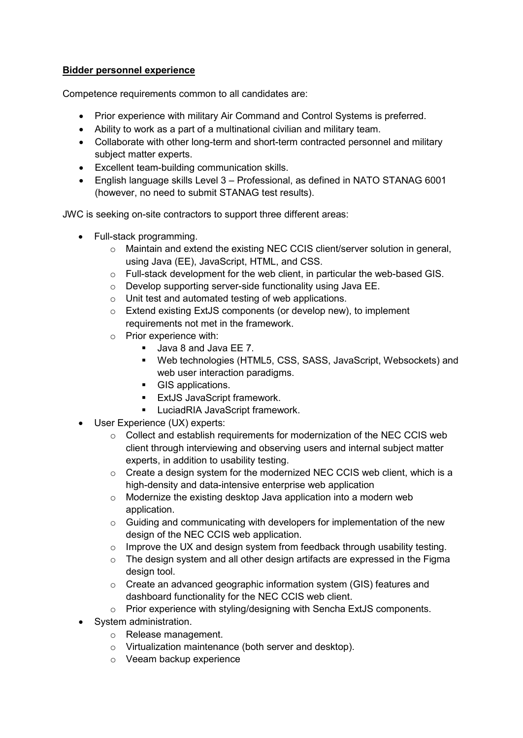### **Bidder personnel experience**

Competence requirements common to all candidates are:

- Prior experience with military Air Command and Control Systems is preferred.
- Ability to work as a part of a multinational civilian and military team.
- Collaborate with other long-term and short-term contracted personnel and military subject matter experts.
- Excellent team-building communication skills.
- English language skills Level 3 Professional, as defined in NATO STANAG 6001 (however, no need to submit STANAG test results).

JWC is seeking on-site contractors to support three different areas:

- Full-stack programming.
	- $\circ$  Maintain and extend the existing NEC CCIS client/server solution in general, using Java (EE), JavaScript, HTML, and CSS.
	- o Full-stack development for the web client, in particular the web-based GIS.
	- o Develop supporting server-side functionality using Java EE.
	- o Unit test and automated testing of web applications.
	- o Extend existing ExtJS components (or develop new), to implement requirements not met in the framework.
	- o Prior experience with:
		- **Java 8 and Java EE 7.**
		- Web technologies (HTML5, CSS, SASS, JavaScript, Websockets) and web user interaction paradigms.
		- GIS applications.
		- **ExtJS JavaScript framework.**
		- **LuciadRIA JavaScript framework.**
- User Experience (UX) experts:
	- $\circ$  Collect and establish requirements for modernization of the NEC CCIS web client through interviewing and observing users and internal subject matter experts, in addition to usability testing.
	- o Create a design system for the modernized NEC CCIS web client, which is a high-density and data-intensive enterprise web application
	- o Modernize the existing desktop Java application into a modern web application.
	- o Guiding and communicating with developers for implementation of the new design of the NEC CCIS web application.
	- o Improve the UX and design system from feedback through usability testing.
	- o The design system and all other design artifacts are expressed in the Figma design tool.
	- o Create an advanced geographic information system (GIS) features and dashboard functionality for the NEC CCIS web client.
	- o Prior experience with styling/designing with Sencha ExtJS components.
- System administration.
	- o Release management.
	- o Virtualization maintenance (both server and desktop).
	- o Veeam backup experience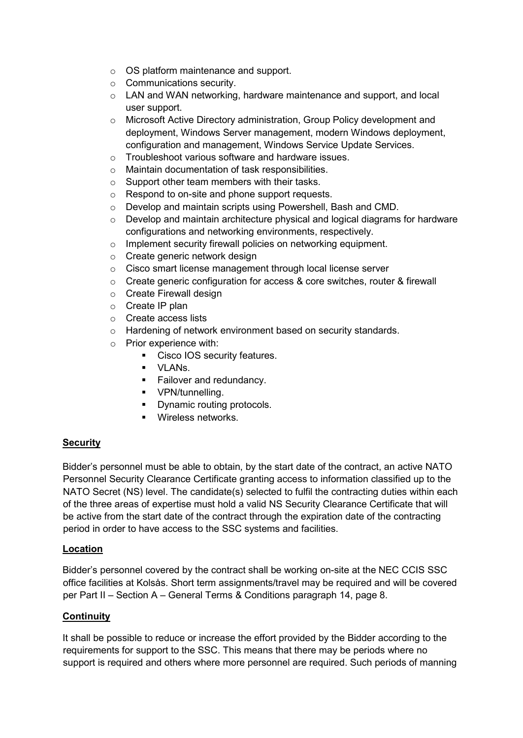- o OS platform maintenance and support.
- o Communications security.
- o LAN and WAN networking, hardware maintenance and support, and local user support.
- o Microsoft Active Directory administration, Group Policy development and deployment, Windows Server management, modern Windows deployment, configuration and management, Windows Service Update Services.
- o Troubleshoot various software and hardware issues.
- o Maintain documentation of task responsibilities.
- o Support other team members with their tasks.
- o Respond to on-site and phone support requests.
- o Develop and maintain scripts using Powershell, Bash and CMD.
- $\circ$  Develop and maintain architecture physical and logical diagrams for hardware configurations and networking environments, respectively.
- o Implement security firewall policies on networking equipment.
- o Create generic network design
- o Cisco smart license management through local license server
- o Create generic configuration for access & core switches, router & firewall
- o Create Firewall design
- o Create IP plan
- o Create access lists
- o Hardening of network environment based on security standards.
- o Prior experience with:
	- **Cisco IOS security features.**
	- VLANs.
	- **Failover and redundancy.**
	- **•** VPN/tunnelling.
	- Dynamic routing protocols.
	- **Wireless networks.**

#### **Security**

Bidder's personnel must be able to obtain, by the start date of the contract, an active NATO Personnel Security Clearance Certificate granting access to information classified up to the NATO Secret (NS) level. The candidate(s) selected to fulfil the contracting duties within each of the three areas of expertise must hold a valid NS Security Clearance Certificate that will be active from the start date of the contract through the expiration date of the contracting period in order to have access to the SSC systems and facilities.

#### **Location**

Bidder's personnel covered by the contract shall be working on-site at the NEC CCIS SSC office facilities at Kolsås. Short term assignments/travel may be required and will be covered per Part II – Section A – General Terms & Conditions paragraph 14, page 8.

#### **Continuity**

It shall be possible to reduce or increase the effort provided by the Bidder according to the requirements for support to the SSC. This means that there may be periods where no support is required and others where more personnel are required. Such periods of manning